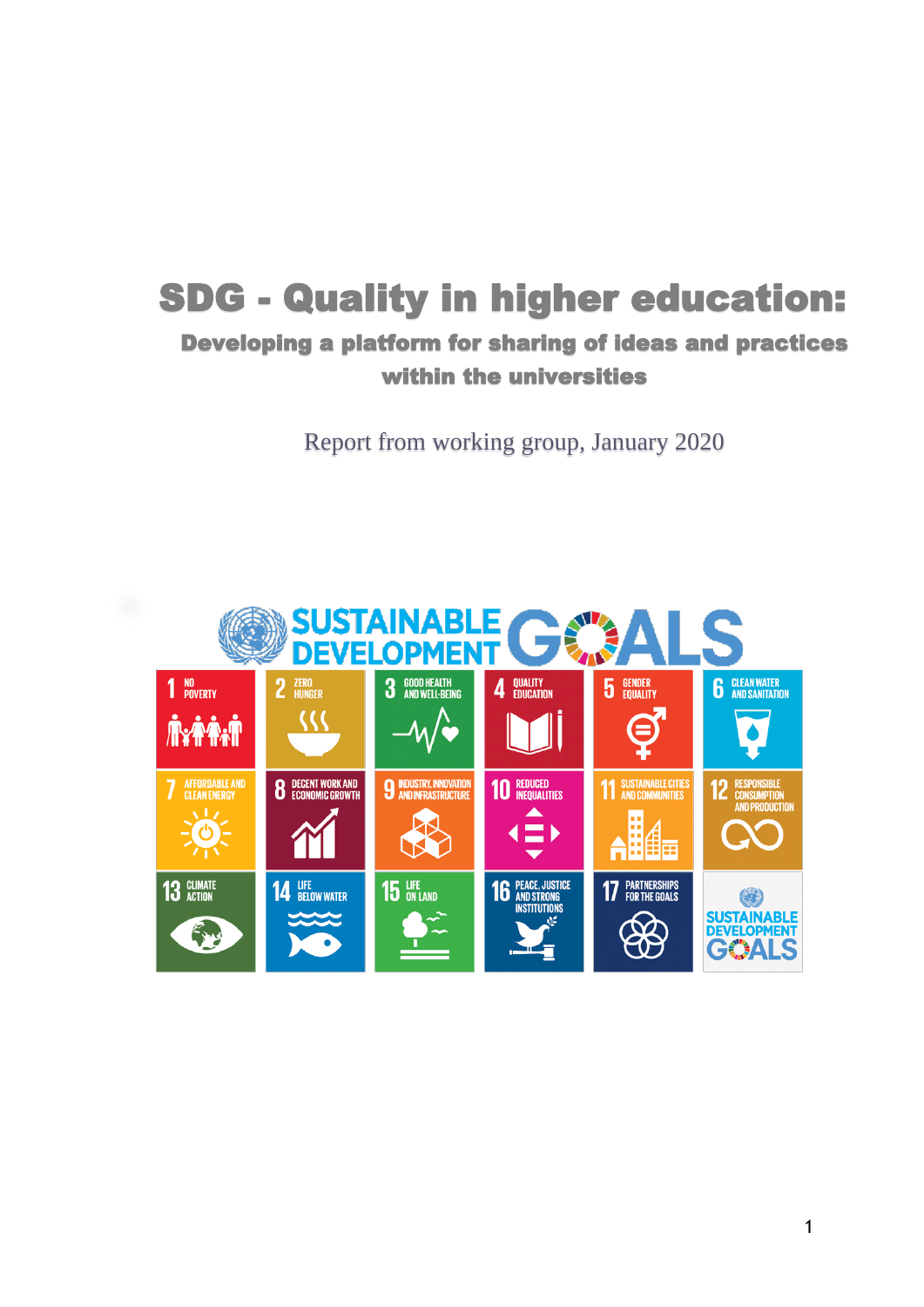# SDG - Quality in higher education:

# Developing a platform for sharing of ideas and practices within the universities

Report from working group, January 2020

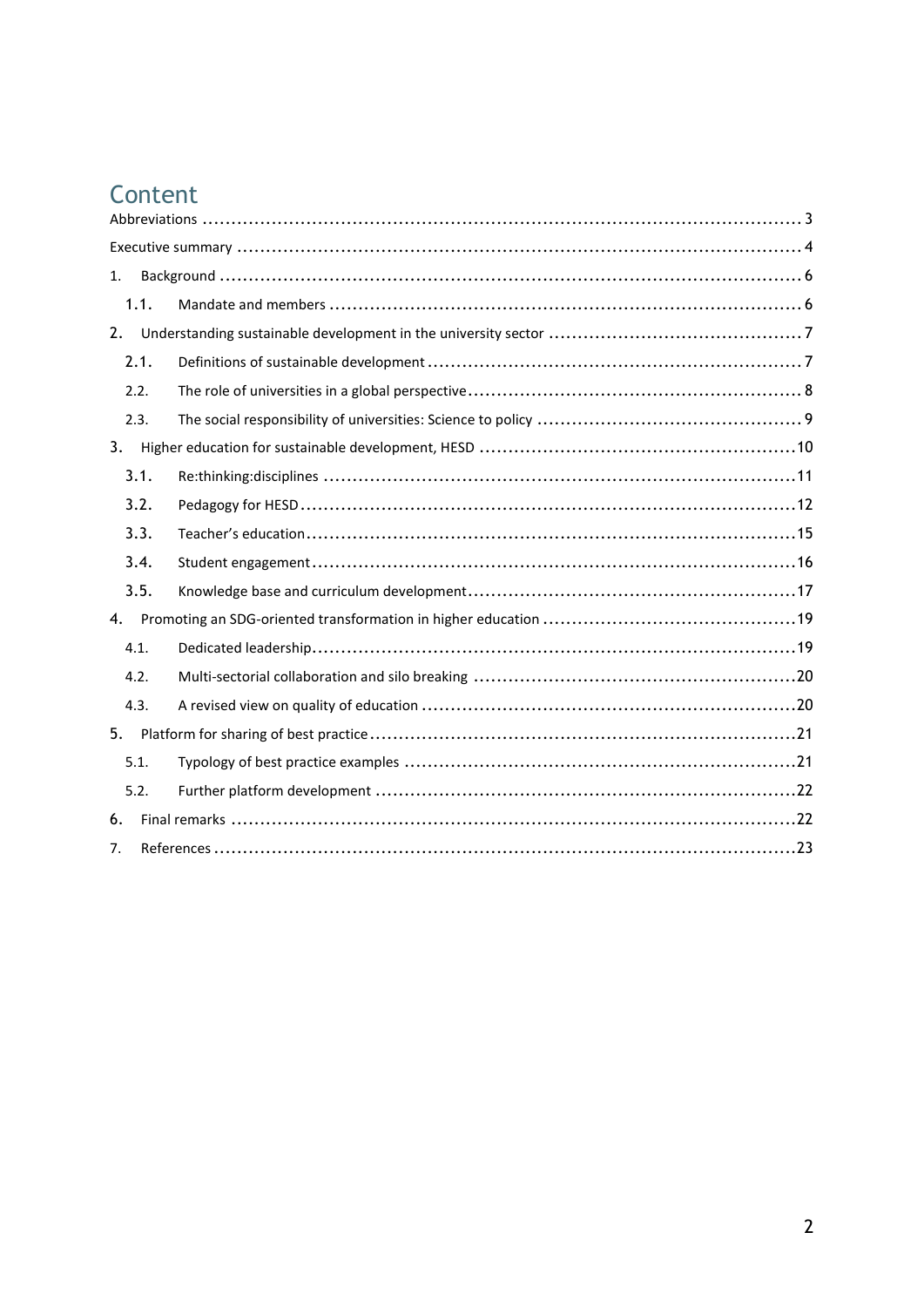# Content

| 1.   |  |  |
|------|--|--|
| 1.1. |  |  |
| 2.   |  |  |
| 2.1. |  |  |
| 2.2. |  |  |
| 2.3. |  |  |
| 3.   |  |  |
| 3.1. |  |  |
| 3.2. |  |  |
| 3.3. |  |  |
| 3.4. |  |  |
| 3.5. |  |  |
| 4.   |  |  |
| 4.1. |  |  |
| 4.2. |  |  |
| 4.3. |  |  |
| 5.   |  |  |
| 5.1. |  |  |
| 5.2. |  |  |
| 6.   |  |  |
| 7.   |  |  |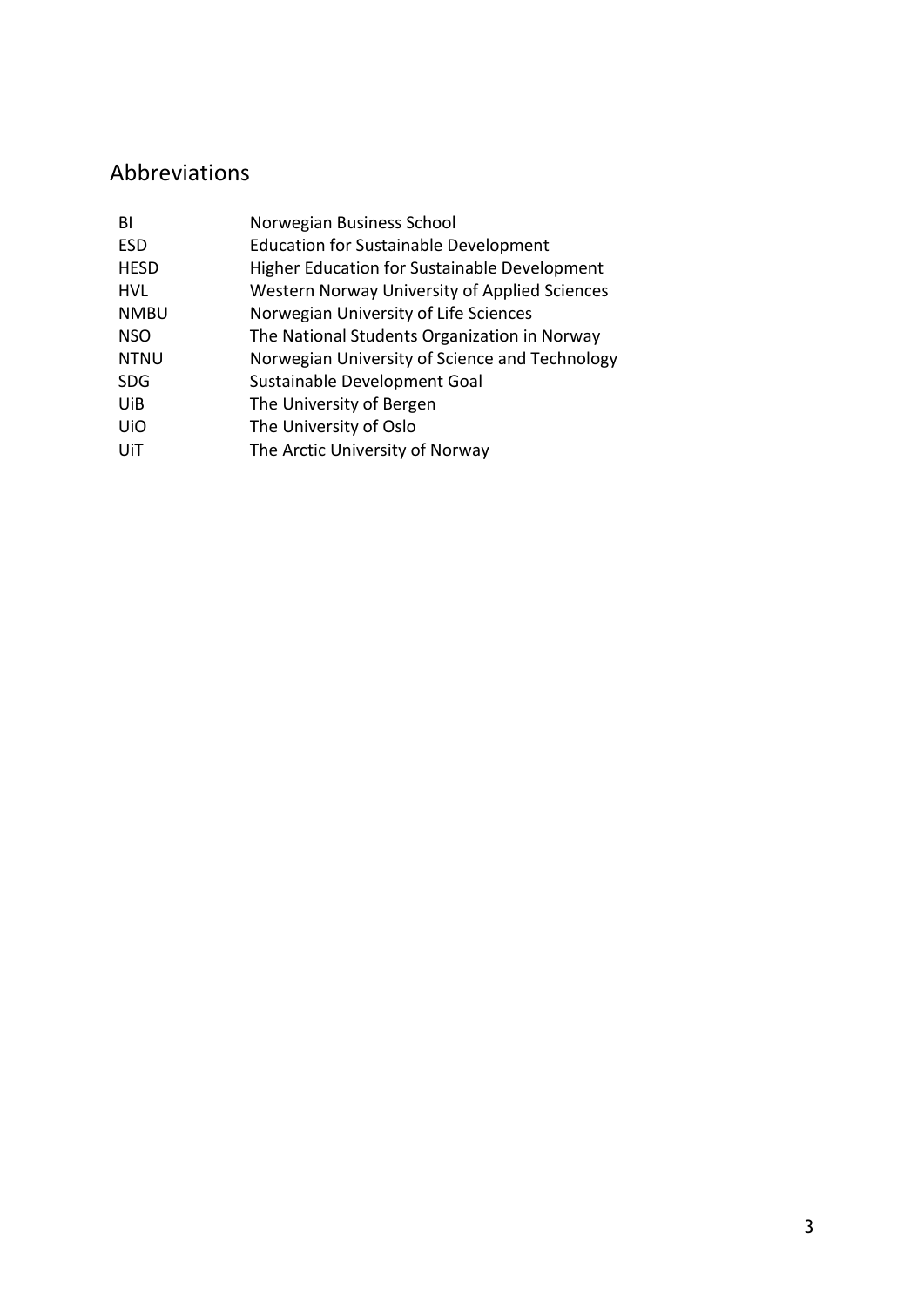# <span id="page-2-0"></span>Abbreviations

| BI          | Norwegian Business School                            |
|-------------|------------------------------------------------------|
|             |                                                      |
| <b>ESD</b>  | <b>Education for Sustainable Development</b>         |
| <b>HESD</b> | <b>Higher Education for Sustainable Development</b>  |
| <b>HVL</b>  | <b>Western Norway University of Applied Sciences</b> |
| <b>NMBU</b> | Norwegian University of Life Sciences                |
| <b>NSO</b>  | The National Students Organization in Norway         |
| <b>NTNU</b> | Norwegian University of Science and Technology       |
| <b>SDG</b>  | Sustainable Development Goal                         |
| UiB         | The University of Bergen                             |
| UiO         | The University of Oslo                               |
| UiT         | The Arctic University of Norway                      |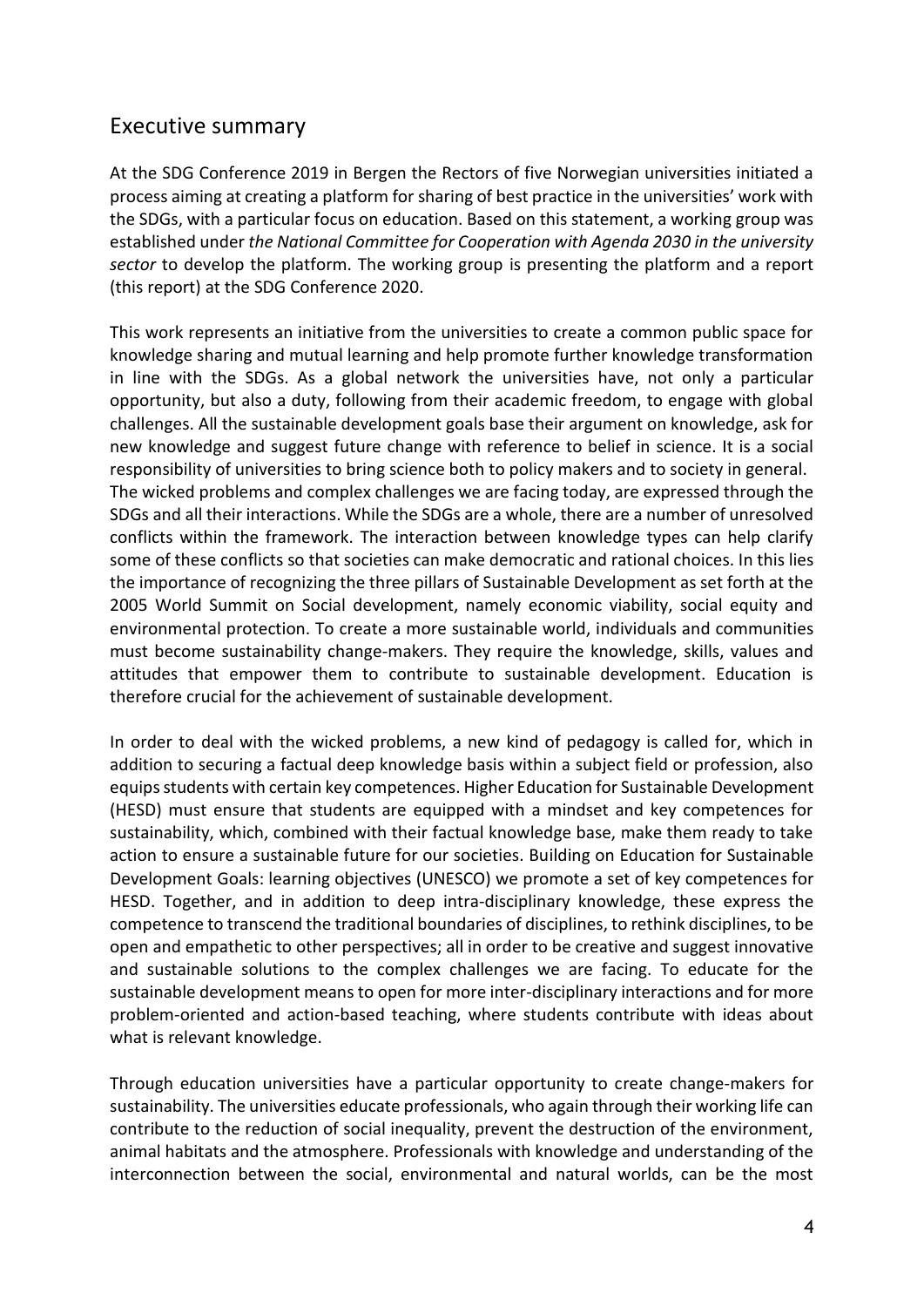# <span id="page-3-0"></span>Executive summary

At the SDG Conference 2019 in Bergen the Rectors of five Norwegian universities initiated a process aiming at creating a platform for sharing of best practice in the universities' work with the SDGs, with a particular focus on education. Based on this statement, a working group was established under *the National Committee for Cooperation with Agenda 2030 in the university sector* to develop the platform. The working group is presenting the platform and a report (this report) at the SDG Conference 2020.

This work represents an initiative from the universities to create a common public space for knowledge sharing and mutual learning and help promote further knowledge transformation in line with the SDGs. As a global network the universities have, not only a particular opportunity, but also a duty, following from their academic freedom, to engage with global challenges. All the sustainable development goals base their argument on knowledge, ask for new knowledge and suggest future change with reference to belief in science. It is a social responsibility of universities to bring science both to policy makers and to society in general. The wicked problems and complex challenges we are facing today, are expressed through the SDGs and all their interactions. While the SDGs are a whole, there are a number of unresolved conflicts within the framework. The interaction between knowledge types can help clarify some of these conflicts so that societies can make democratic and rational choices. In this lies the importance of recognizing the three pillars of Sustainable Development as set forth at the 2005 World Summit on Social development, namely economic viability, social equity and environmental protection. To create a more sustainable world, individuals and communities must become sustainability change-makers. They require the knowledge, skills, values and attitudes that empower them to contribute to sustainable development. Education is therefore crucial for the achievement of sustainable development.

In order to deal with the wicked problems, a new kind of pedagogy is called for, which in addition to securing a factual deep knowledge basis within a subject field or profession, also equips students with certain key competences. Higher Education for Sustainable Development (HESD) must ensure that students are equipped with a mindset and key competences for sustainability, which, combined with their factual knowledge base, make them ready to take action to ensure a sustainable future for our societies. Building on Education for Sustainable Development Goals: learning objectives (UNESCO) we promote a set of key competences for HESD. Together, and in addition to deep intra-disciplinary knowledge, these express the competence to transcend the traditional boundaries of disciplines, to rethink disciplines, to be open and empathetic to other perspectives; all in order to be creative and suggest innovative and sustainable solutions to the complex challenges we are facing. To educate for the sustainable development means to open for more inter-disciplinary interactions and for more problem-oriented and action-based teaching, where students contribute with ideas about what is relevant knowledge.

Through education universities have a particular opportunity to create change-makers for sustainability. The universities educate professionals, who again through their working life can contribute to the reduction of social inequality, prevent the destruction of the environment, animal habitats and the atmosphere. Professionals with knowledge and understanding of the interconnection between the social, environmental and natural worlds, can be the most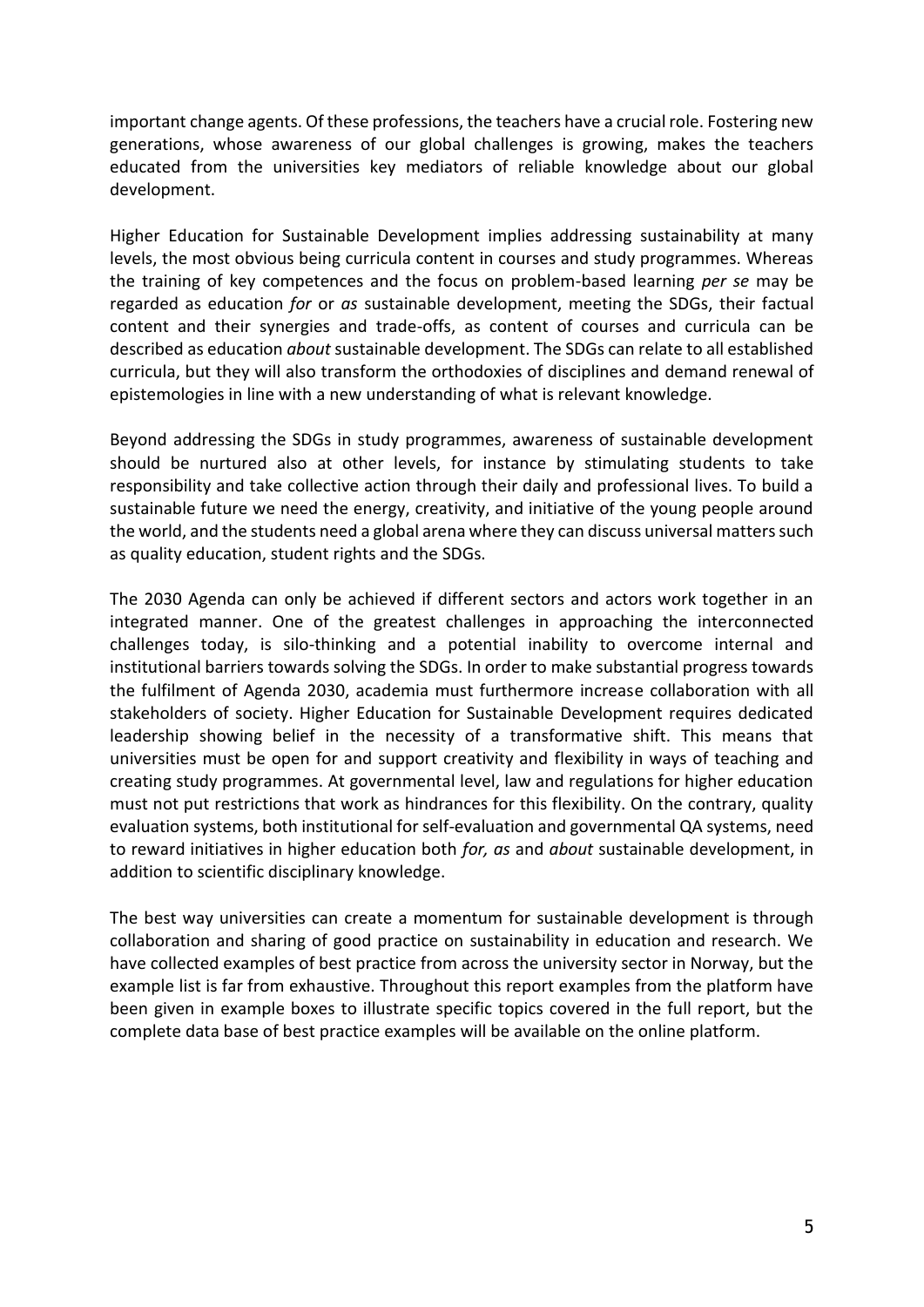important change agents. Of these professions, the teachers have a crucial role. Fostering new generations, whose awareness of our global challenges is growing, makes the teachers educated from the universities key mediators of reliable knowledge about our global development.

Higher Education for Sustainable Development implies addressing sustainability at many levels, the most obvious being curricula content in courses and study programmes. Whereas the training of key competences and the focus on problem-based learning *per se* may be regarded as education *for* or *as* sustainable development, meeting the SDGs, their factual content and their synergies and trade-offs, as content of courses and curricula can be described as education *about* sustainable development. The SDGs can relate to all established curricula, but they will also transform the orthodoxies of disciplines and demand renewal of epistemologies in line with a new understanding of what is relevant knowledge.

Beyond addressing the SDGs in study programmes, awareness of sustainable development should be nurtured also at other levels, for instance by stimulating students to take responsibility and take collective action through their daily and professional lives. To build a sustainable future we need the energy, creativity, and initiative of the young people around the world, and the students need a global arena where they can discuss universal matters such as quality education, student rights and the SDGs.

The 2030 Agenda can only be achieved if different sectors and actors work together in an integrated manner. One of the greatest challenges in approaching the interconnected challenges today, is silo-thinking and a potential inability to overcome internal and institutional barriers towards solving the SDGs. In order to make substantial progress towards the fulfilment of Agenda 2030, academia must furthermore increase collaboration with all stakeholders of society. Higher Education for Sustainable Development requires dedicated leadership showing belief in the necessity of a transformative shift. This means that universities must be open for and support creativity and flexibility in ways of teaching and creating study programmes. At governmental level, law and regulations for higher education must not put restrictions that work as hindrances for this flexibility. On the contrary, quality evaluation systems, both institutional for self-evaluation and governmental QA systems, need to reward initiatives in higher education both *for, as* and *about* sustainable development, in addition to scientific disciplinary knowledge.

The best way universities can create a momentum for sustainable development is through collaboration and sharing of good practice on sustainability in education and research. We have collected examples of best practice from across the university sector in Norway, but the example list is far from exhaustive. Throughout this report examples from the platform have been given in example boxes to illustrate specific topics covered in the full report, but the complete data base of best practice examples will be available on the online platform.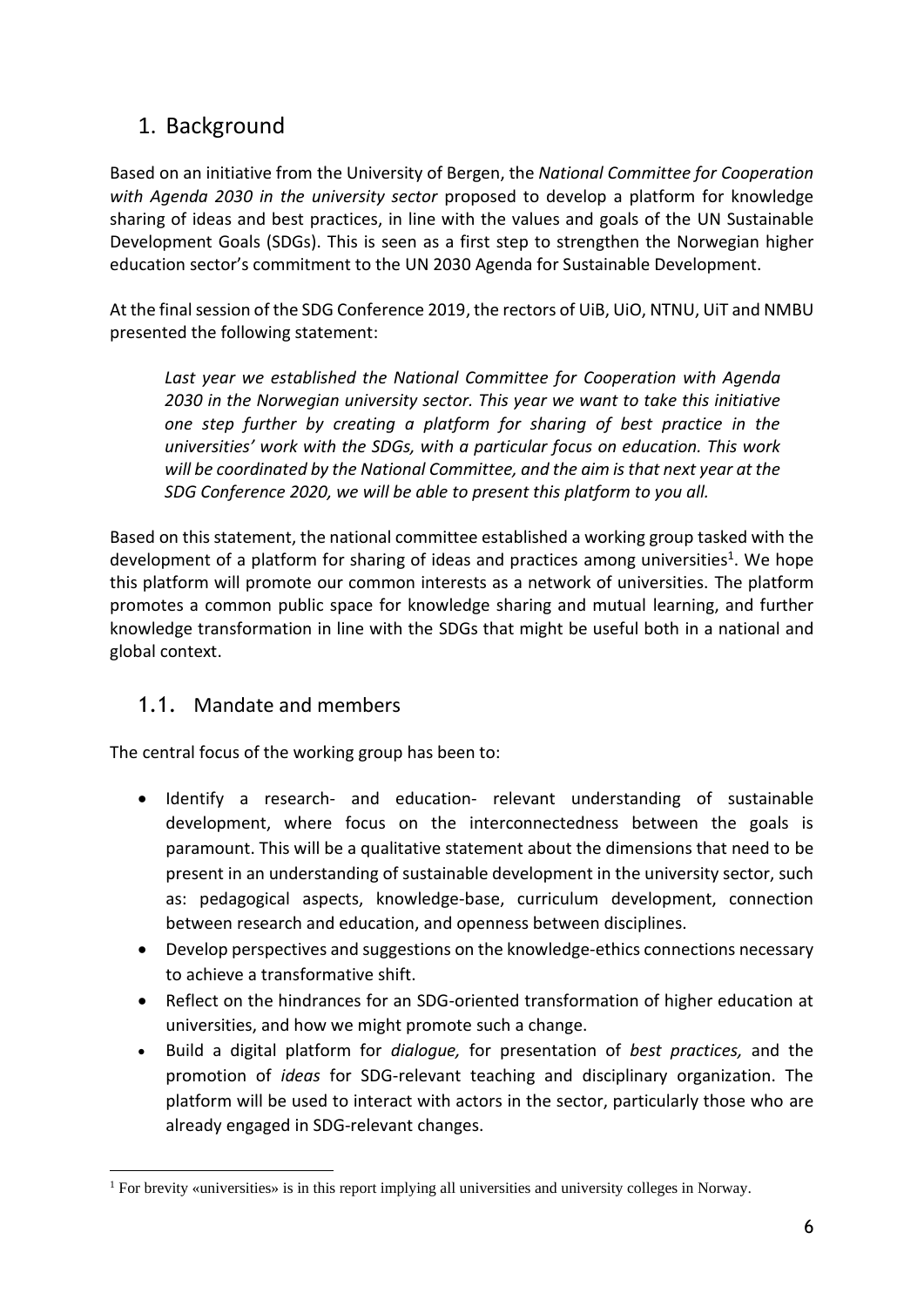# <span id="page-5-0"></span>1. Background

Based on an initiative from the University of Bergen, the *National Committee for Cooperation with Agenda 2030 in the university sector* proposed to develop a platform for knowledge sharing of ideas and best practices, in line with the values and goals of the UN Sustainable Development Goals (SDGs). This is seen as a first step to strengthen the Norwegian higher education sector's commitment to the UN 2030 Agenda for Sustainable Development.

At the final session of the SDG Conference 2019, the rectors of UiB, UiO, NTNU, UiT and NMBU presented the following statement:

Last year we established the National Committee for Cooperation with Agenda *2030 in the Norwegian university sector. This year we want to take this initiative one step further by creating a platform for sharing of best practice in the universities' work with the SDGs, with a particular focus on education. This work will be coordinated by the National Committee, and the aim is that next year at the SDG Conference 2020, we will be able to present this platform to you all.*

Based on this statement, the national committee established a working group tasked with the development of a platform for sharing of ideas and practices among universities<sup>1</sup>. We hope this platform will promote our common interests as a network of universities. The platform promotes a common public space for knowledge sharing and mutual learning, and further knowledge transformation in line with the SDGs that might be useful both in a national and global context.

### <span id="page-5-1"></span>1.1. Mandate and members

The central focus of the working group has been to:

- Identify a research- and education- relevant understanding of sustainable development, where focus on the interconnectedness between the goals is paramount. This will be a qualitative statement about the dimensions that need to be present in an understanding of sustainable development in the university sector, such as: pedagogical aspects, knowledge-base, curriculum development, connection between research and education, and openness between disciplines.
- Develop perspectives and suggestions on the knowledge-ethics connections necessary to achieve a transformative shift.
- Reflect on the hindrances for an SDG-oriented transformation of higher education at universities, and how we might promote such a change.
- Build a digital platform for *dialogue,* for presentation of *best practices,* and the promotion of *ideas* for SDG-relevant teaching and disciplinary organization. The platform will be used to interact with actors in the sector, particularly those who are already engaged in SDG-relevant changes.

<sup>1</sup> For brevity «universities» is in this report implying all universities and university colleges in Norway.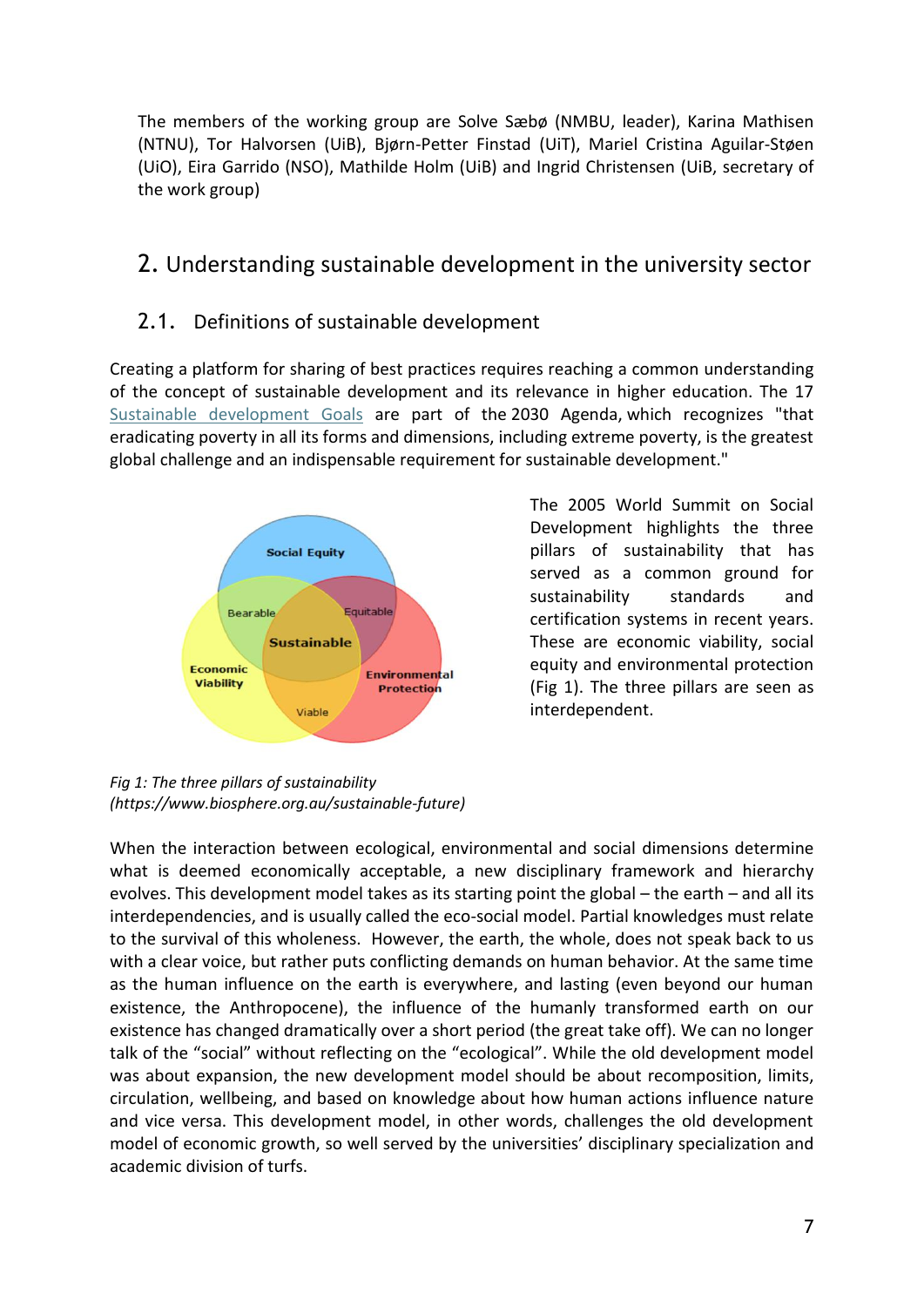The members of the working group are Solve Sæbø (NMBU, leader), Karina Mathisen (NTNU), Tor Halvorsen (UiB), Bjørn-Petter Finstad (UiT), Mariel Cristina Aguilar-Støen (UiO), Eira Garrido (NSO), Mathilde Holm (UiB) and Ingrid Christensen (UiB, secretary of the work group)

# <span id="page-6-0"></span>2. Understanding sustainable development in the university sector

### <span id="page-6-1"></span>2.1. Definitions of sustainable development

Creating a platform for sharing of best practices requires reaching a common understanding of the concept of sustainable development and its relevance in higher education. The 17 [Sustainable development Goals](https://www.iisd.org/topic/sustainable-development-goals)) are part of the [2030 Agenda,](https://sustainabledevelopment.un.org/post2015/transformingourworld) which recognizes "that eradicating poverty in all its forms and dimensions, including extreme poverty, is the greatest global challenge and an indispensable requirement for sustainable development."



The 2005 World Summit on Social Development highlights the three pillars of sustainability that has served as a common ground for sustainability standards and certification systems in recent years. These are economic viability, social equity and environmental protection (Fig 1). The three pillars are seen as interdependent.

*Fig 1: The three pillars of sustainability (https://www.biosphere.org.au/sustainable-future)*

When the interaction between ecological, environmental and social dimensions determine what is deemed economically acceptable, a new disciplinary framework and hierarchy evolves. This development model takes as its starting point the global – the earth – and all its interdependencies, and is usually called the eco-social model. Partial knowledges must relate to the survival of this wholeness. However, the earth, the whole, does not speak back to us with a clear voice, but rather puts conflicting demands on human behavior. At the same time as the human influence on the earth is everywhere, and lasting (even beyond our human existence, the Anthropocene), the influence of the humanly transformed earth on our existence has changed dramatically over a short period (the great take off). We can no longer talk of the "social" without reflecting on the "ecological". While the old development model was about expansion, the new development model should be about recomposition, limits, circulation, wellbeing, and based on knowledge about how human actions influence nature and vice versa. This development model, in other words, challenges the old development model of economic growth, so well served by the universities' disciplinary specialization and academic division of turfs.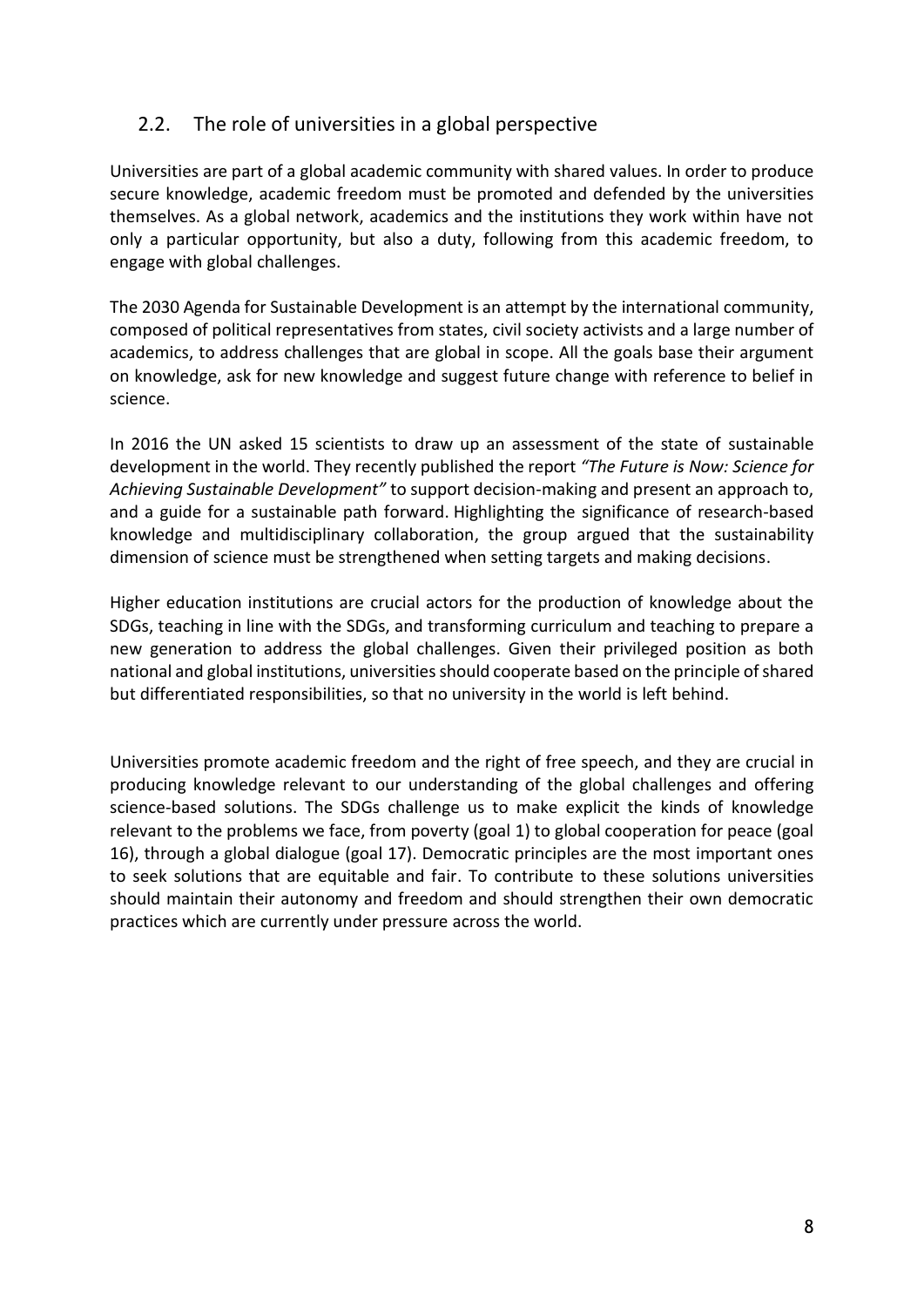### <span id="page-7-0"></span>2.2. The role of universities in a global perspective

Universities are part of a global academic community with shared values. In order to produce secure knowledge, academic freedom must be promoted and defended by the universities themselves. As a global network, academics and the institutions they work within have not only a particular opportunity, but also a duty, following from this academic freedom, to engage with global challenges.

The 2030 Agenda for Sustainable Development is an attempt by the international community, composed of political representatives from states, civil society activists and a large number of academics, to address challenges that are global in scope. All the goals base their argument on knowledge, ask for new knowledge and suggest future change with reference to belief in science.

In 2016 the UN asked 15 scientists to draw up an assessment of the state of sustainable development in the world. They recently published the report *"The Future is Now: Science for Achieving Sustainable Development"* to support decision-making and present an approach to, and a guide for a sustainable path forward. Highlighting the significance of research-based knowledge and multidisciplinary collaboration, the group argued that the sustainability dimension of science must be strengthened when setting targets and making decisions.

Higher education institutions are crucial actors for the production of knowledge about the SDGs, teaching in line with the SDGs, and transforming curriculum and teaching to prepare a new generation to address the global challenges. Given their privileged position as both national and global institutions, universities should cooperate based on the principle of shared but differentiated responsibilities, so that no university in the world is left behind.

Universities promote academic freedom and the right of free speech, and they are crucial in producing knowledge relevant to our understanding of the global challenges and offering science-based solutions. The SDGs challenge us to make explicit the kinds of knowledge relevant to the problems we face, from poverty (goal 1) to global cooperation for peace (goal 16), through a global dialogue (goal 17). Democratic principles are the most important ones to seek solutions that are equitable and fair. To contribute to these solutions universities should maintain their autonomy and freedom and should strengthen their own democratic practices which are currently under pressure across the world.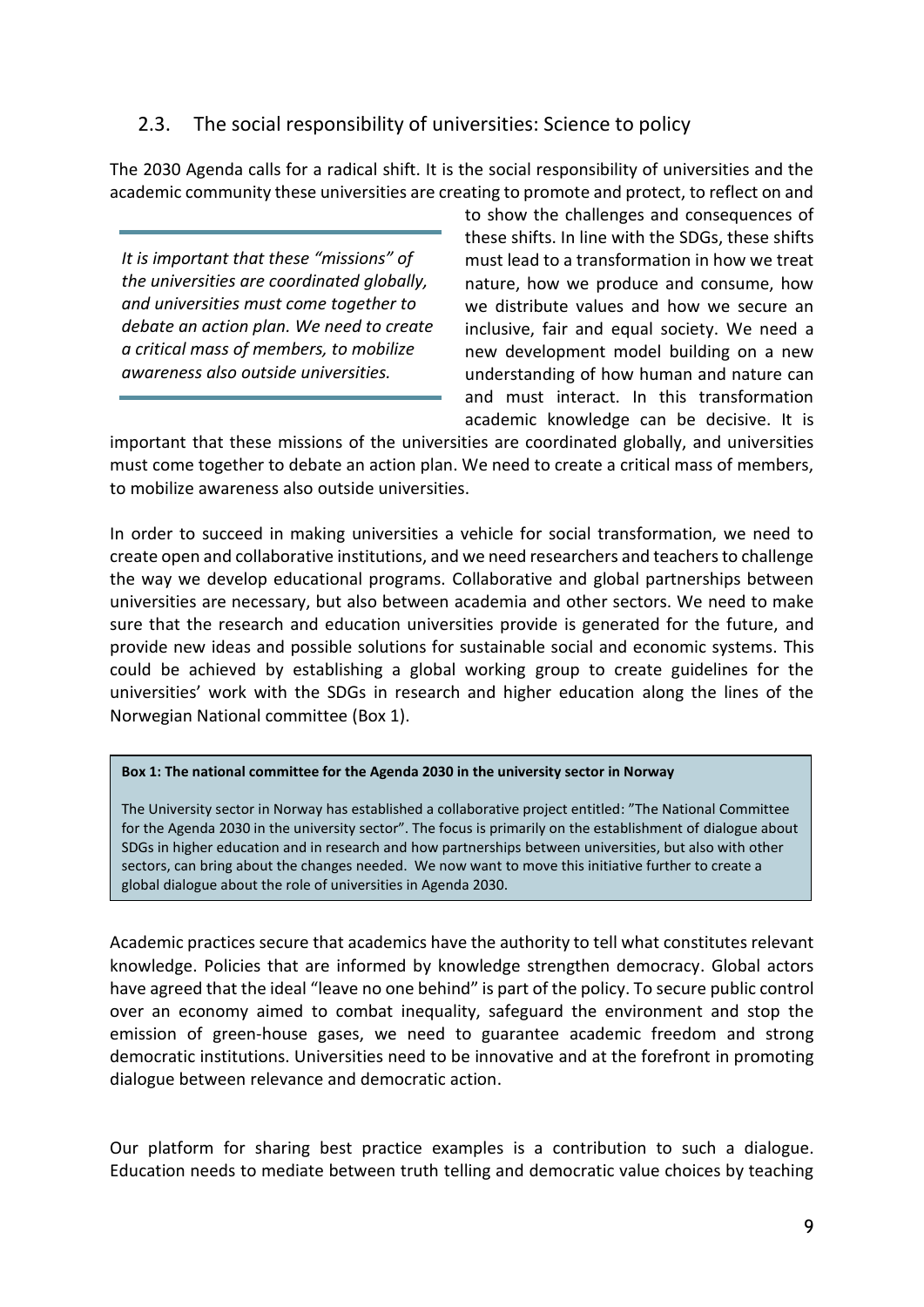### <span id="page-8-0"></span>2.3. The social responsibility of universities: Science to policy

The 2030 Agenda calls for a radical shift. It is the social responsibility of universities and the academic community these universities are creating to promote and protect, to reflect on and

*It is important that these "missions" of the universities are coordinated globally, and universities must come together to debate an action plan. We need to create a critical mass of members, to mobilize awareness also outside universities.*

to show the challenges and consequences of these shifts. In line with the SDGs, these shifts must lead to a transformation in how we treat nature, how we produce and consume, how we distribute values and how we secure an inclusive, fair and equal society. We need a new development model building on a new understanding of how human and nature can and must interact. In this transformation academic knowledge can be decisive. It is

important that these missions of the universities are coordinated globally, and universities must come together to debate an action plan. We need to create a critical mass of members, to mobilize awareness also outside universities.

In order to succeed in making universities a vehicle for social transformation, we need to create open and collaborative institutions, and we need researchers and teachers to challenge the way we develop educational programs. Collaborative and global partnerships between universities are necessary, but also between academia and other sectors. We need to make sure that the research and education universities provide is generated for the future, and provide new ideas and possible solutions for sustainable social and economic systems. This could be achieved by establishing a global working group to create guidelines for the universities' work with the SDGs in research and higher education along the lines of the Norwegian National committee (Box 1).

#### **Box 1: The national committee for the Agenda 2030 in the university sector in Norway**

The University sector in Norway has established a collaborative project entitled: "The National Committee for the Agenda 2030 in the university sector". The focus is primarily on the establishment of dialogue about SDGs in higher education and in research and how partnerships between universities, but also with other sectors, can bring about the changes needed. We now want to move this initiative further to create a global dialogue about the role of universities in Agenda 2030.

Academic practices secure that academics have the authority to tell what constitutes relevant knowledge. Policies that are informed by knowledge strengthen democracy. Global actors have agreed that the ideal "leave no one behind" is part of the policy. To secure public control over an economy aimed to combat inequality, safeguard the environment and stop the emission of green-house gases, we need to guarantee academic freedom and strong democratic institutions. Universities need to be innovative and at the forefront in promoting dialogue between relevance and democratic action.

Our platform for sharing best practice examples is a contribution to such a dialogue. Education needs to mediate between truth telling and democratic value choices by teaching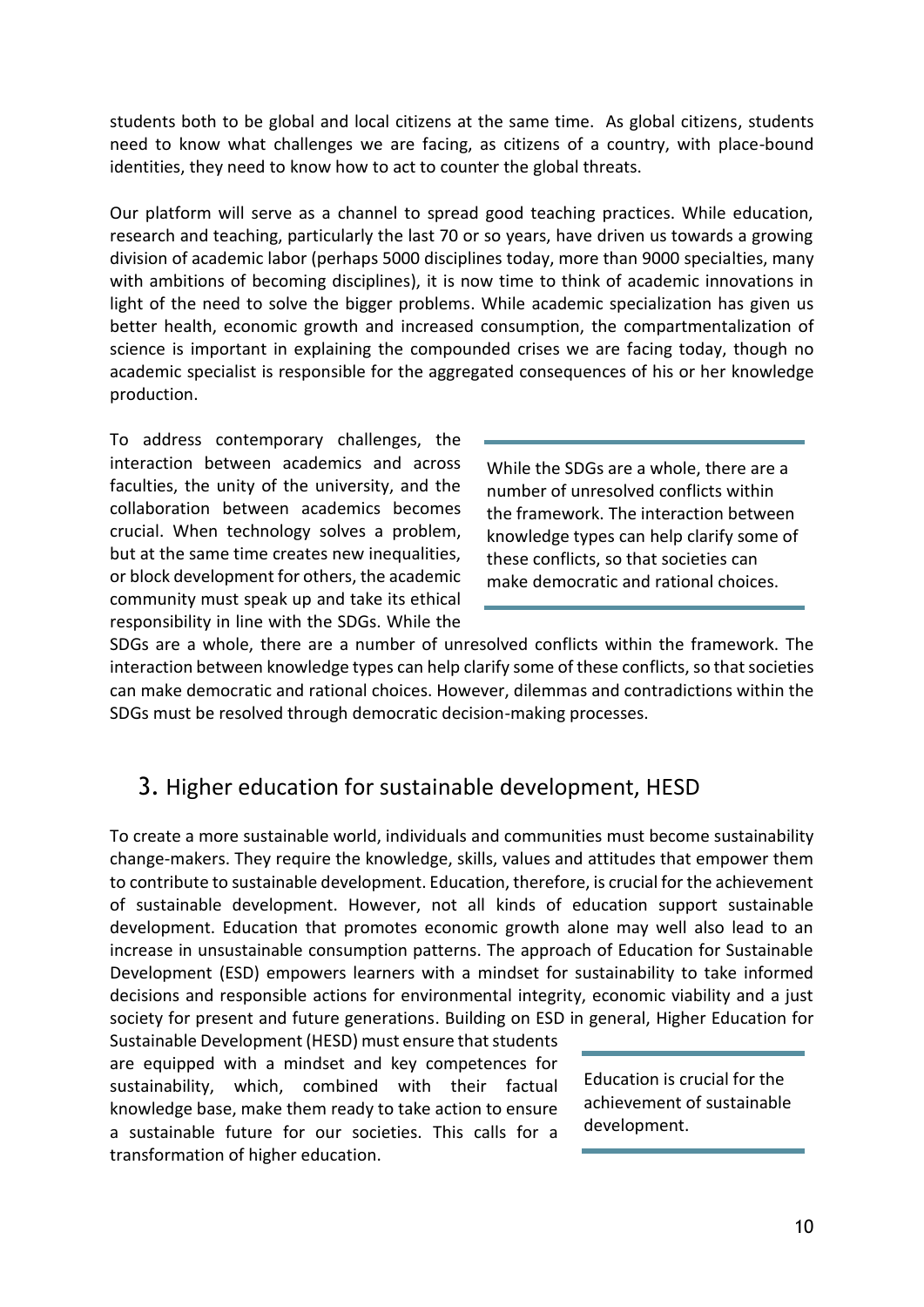students both to be global and local citizens at the same time. As global citizens, students need to know what challenges we are facing, as citizens of a country, with place-bound identities, they need to know how to act to counter the global threats.

Our platform will serve as a channel to spread good teaching practices. While education, research and teaching, particularly the last 70 or so years, have driven us towards a growing division of academic labor (perhaps 5000 disciplines today, more than 9000 specialties, many with ambitions of becoming disciplines), it is now time to think of academic innovations in light of the need to solve the bigger problems. While academic specialization has given us better health, economic growth and increased consumption, the compartmentalization of science is important in explaining the compounded crises we are facing today, though no academic specialist is responsible for the aggregated consequences of his or her knowledge production.

To address contemporary challenges, the interaction between academics and across faculties, the unity of the university, and the collaboration between academics becomes crucial. When technology solves a problem, but at the same time creates new inequalities, or block development for others, the academic community must speak up and take its ethical responsibility in line with the SDGs. While the

While the SDGs are a whole, there are a number of unresolved conflicts within the framework. The interaction between knowledge types can help clarify some of these conflicts, so that societies can make democratic and rational choices.

SDGs are a whole, there are a number of unresolved conflicts within the framework. The interaction between knowledge types can help clarify some of these conflicts, so that societies can make democratic and rational choices. However, dilemmas and contradictions within the SDGs must be resolved through democratic decision-making processes.

# <span id="page-9-0"></span>3. Higher education for sustainable development, HESD

To create a more sustainable world, individuals and communities must become sustainability change-makers. They require the knowledge, skills, values and attitudes that empower them to contribute to sustainable development. Education, therefore, is crucial for the achievement of sustainable development. However, not all kinds of education support sustainable development. Education that promotes economic growth alone may well also lead to an increase in unsustainable consumption patterns. The approach of Education for Sustainable Development (ESD) empowers learners with a mindset for sustainability to take informed decisions and responsible actions for environmental integrity, economic viability and a just society for present and future generations. Building on ESD in general, Higher Education for

Sustainable Development (HESD) must ensure that students are equipped with a mindset and key competences for sustainability, which, combined with their factual knowledge base, make them ready to take action to ensure a sustainable future for our societies. This calls for a transformation of higher education.

Education is crucial for the achievement of sustainable development.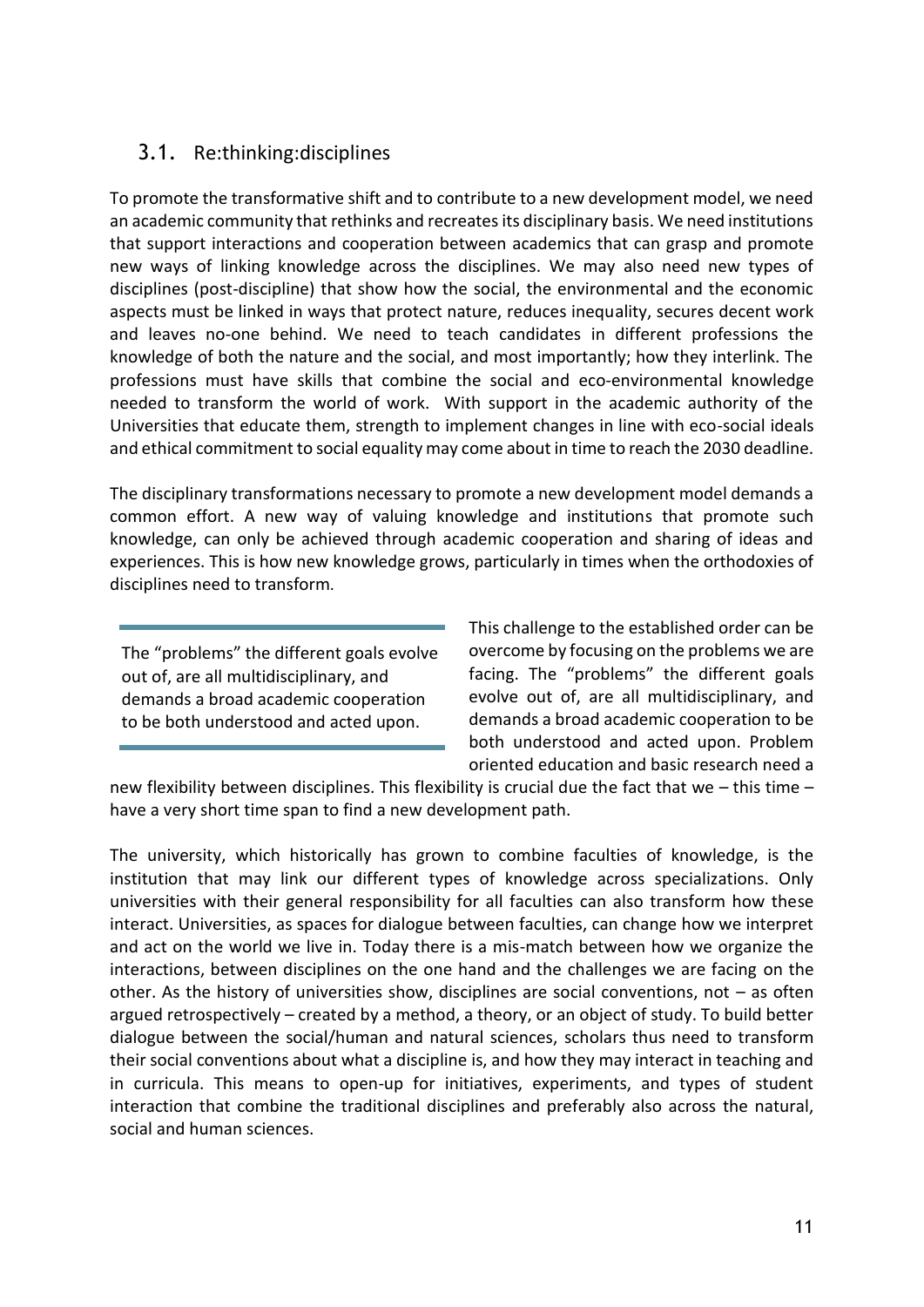# <span id="page-10-0"></span>3.1. Re:thinking:disciplines

To promote the transformative shift and to contribute to a new development model, we need an academic community that rethinks and recreates its disciplinary basis. We need institutions that support interactions and cooperation between academics that can grasp and promote new ways of linking knowledge across the disciplines. We may also need new types of disciplines (post-discipline) that show how the social, the environmental and the economic aspects must be linked in ways that protect nature, reduces inequality, secures decent work and leaves no-one behind. We need to teach candidates in different professions the knowledge of both the nature and the social, and most importantly; how they interlink. The professions must have skills that combine the social and eco-environmental knowledge needed to transform the world of work. With support in the academic authority of the Universities that educate them, strength to implement changes in line with eco-social ideals and ethical commitment to social equality may come about in time to reach the 2030 deadline.

The disciplinary transformations necessary to promote a new development model demands a common effort. A new way of valuing knowledge and institutions that promote such knowledge, can only be achieved through academic cooperation and sharing of ideas and experiences. This is how new knowledge grows, particularly in times when the orthodoxies of disciplines need to transform*.* 

The "problems" the different goals evolve out of, are all multidisciplinary, and demands a broad academic cooperation to be both understood and acted upon.

This challenge to the established order can be overcome by focusing on the problems we are facing. The "problems" the different goals evolve out of, are all multidisciplinary, and demands a broad academic cooperation to be both understood and acted upon. Problem oriented education and basic research need a

new flexibility between disciplines. This flexibility is crucial due the fact that we – this time – have a very short time span to find a new development path.

The university, which historically has grown to combine faculties of knowledge, is the institution that may link our different types of knowledge across specializations. Only universities with their general responsibility for all faculties can also transform how these interact. Universities, as spaces for dialogue between faculties, can change how we interpret and act on the world we live in. Today there is a mis-match between how we organize the interactions, between disciplines on the one hand and the challenges we are facing on the other. As the history of universities show, disciplines are social conventions, not – as often argued retrospectively – created by a method, a theory, or an object of study. To build better dialogue between the social/human and natural sciences, scholars thus need to transform their social conventions about what a discipline is, and how they may interact in teaching and in curricula. This means to open-up for initiatives, experiments, and types of student interaction that combine the traditional disciplines and preferably also across the natural, social and human sciences.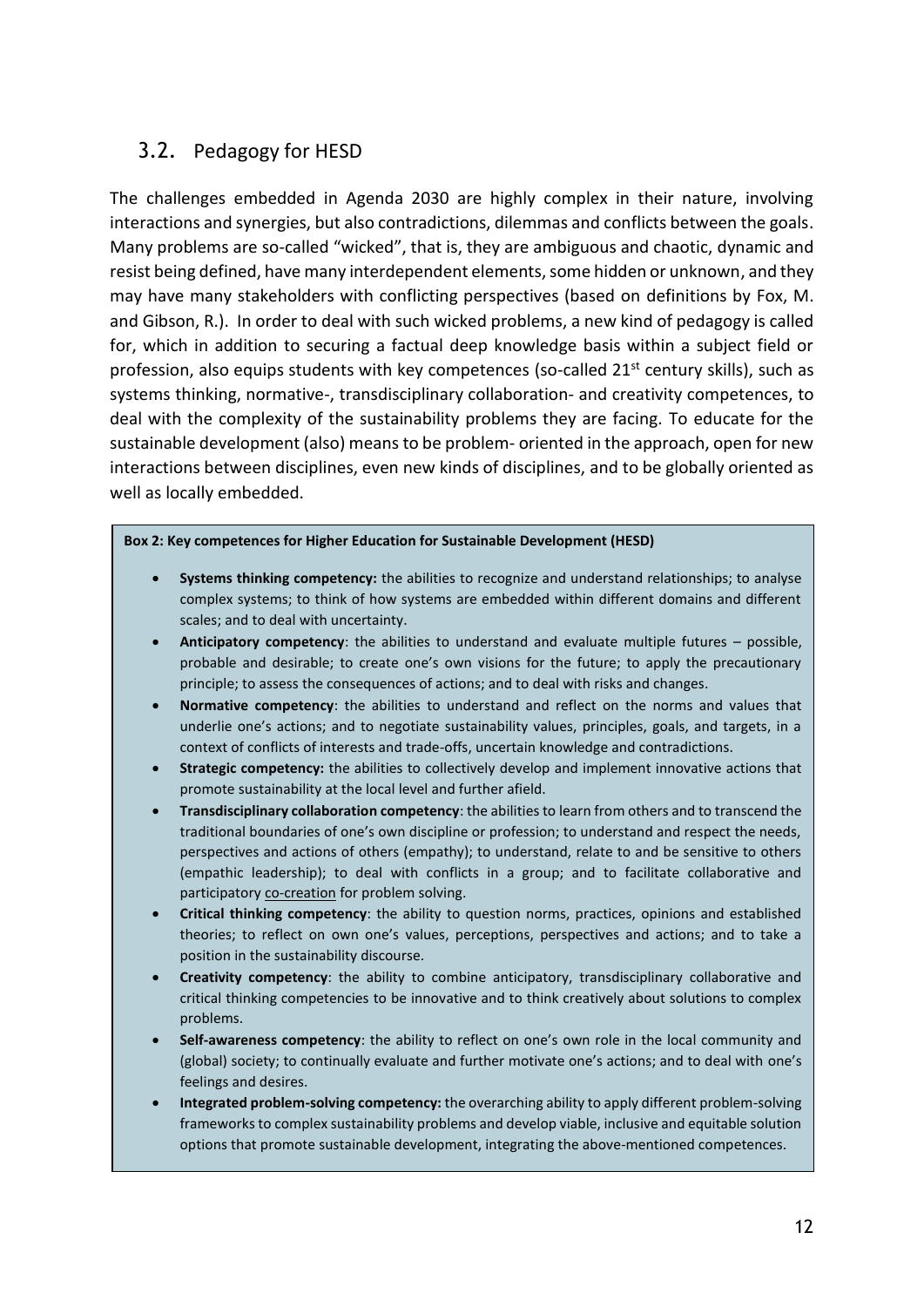# <span id="page-11-0"></span>3.2. Pedagogy for HESD

The challenges embedded in Agenda 2030 are highly complex in their nature, involving interactions and synergies, but also contradictions, dilemmas and conflicts between the goals. Many problems are so-called "wicked", that is, they are ambiguous and chaotic, dynamic and resist being defined, have many interdependent elements, some hidden or unknown, and they may have many stakeholders with conflicting perspectives (based on definitions by Fox, M. and Gibson, R.). In order to deal with such wicked problems, a new kind of pedagogy is called for, which in addition to securing a factual deep knowledge basis within a subject field or profession, also equips students with key competences (so-called  $21<sup>st</sup>$  century skills), such as systems thinking, normative-, transdisciplinary collaboration- and creativity competences, to deal with the complexity of the sustainability problems they are facing. To educate for the sustainable development (also) means to be problem- oriented in the approach, open for new interactions between disciplines, even new kinds of disciplines, and to be globally oriented as well as locally embedded.

#### **Box 2: Key competences for Higher Education for Sustainable Development (HESD)**

- **Systems thinking competency:** the abilities to recognize and understand relationships; to analyse complex systems; to think of how systems are embedded within different domains and different scales; and to deal with uncertainty.
- **Anticipatory competency**: the abilities to understand and evaluate multiple futures possible, probable and desirable; to create one's own visions for the future; to apply the precautionary principle; to assess the consequences of actions; and to deal with risks and changes.
- **Normative competency**: the abilities to understand and reflect on the norms and values that underlie one's actions; and to negotiate sustainability values, principles, goals, and targets, in a context of conflicts of interests and trade-offs, uncertain knowledge and contradictions.
- **Strategic competency:** the abilities to collectively develop and implement innovative actions that promote sustainability at the local level and further afield.
- **Transdisciplinary collaboration competency**: the abilities to learn from others and to transcend the traditional boundaries of one's own discipline or profession; to understand and respect the needs, perspectives and actions of others (empathy); to understand, relate to and be sensitive to others (empathic leadership); to deal with conflicts in a group; and to facilitate collaborative and participatory co-creation for problem solving.
- **Critical thinking competency**: the ability to question norms, practices, opinions and established theories; to reflect on own one's values, perceptions, perspectives and actions; and to take a position in the sustainability discourse.
- **Creativity competency**: the ability to combine anticipatory, transdisciplinary collaborative and critical thinking competencies to be innovative and to think creatively about solutions to complex problems.
- **Self-awareness competency**: the ability to reflect on one's own role in the local community and (global) society; to continually evaluate and further motivate one's actions; and to deal with one's feelings and desires.
- **Integrated problem-solving competency:** the overarching ability to apply different problem-solving frameworks to complex sustainability problems and develop viable, inclusive and equitable solution options that promote sustainable development, integrating the above-mentioned competences.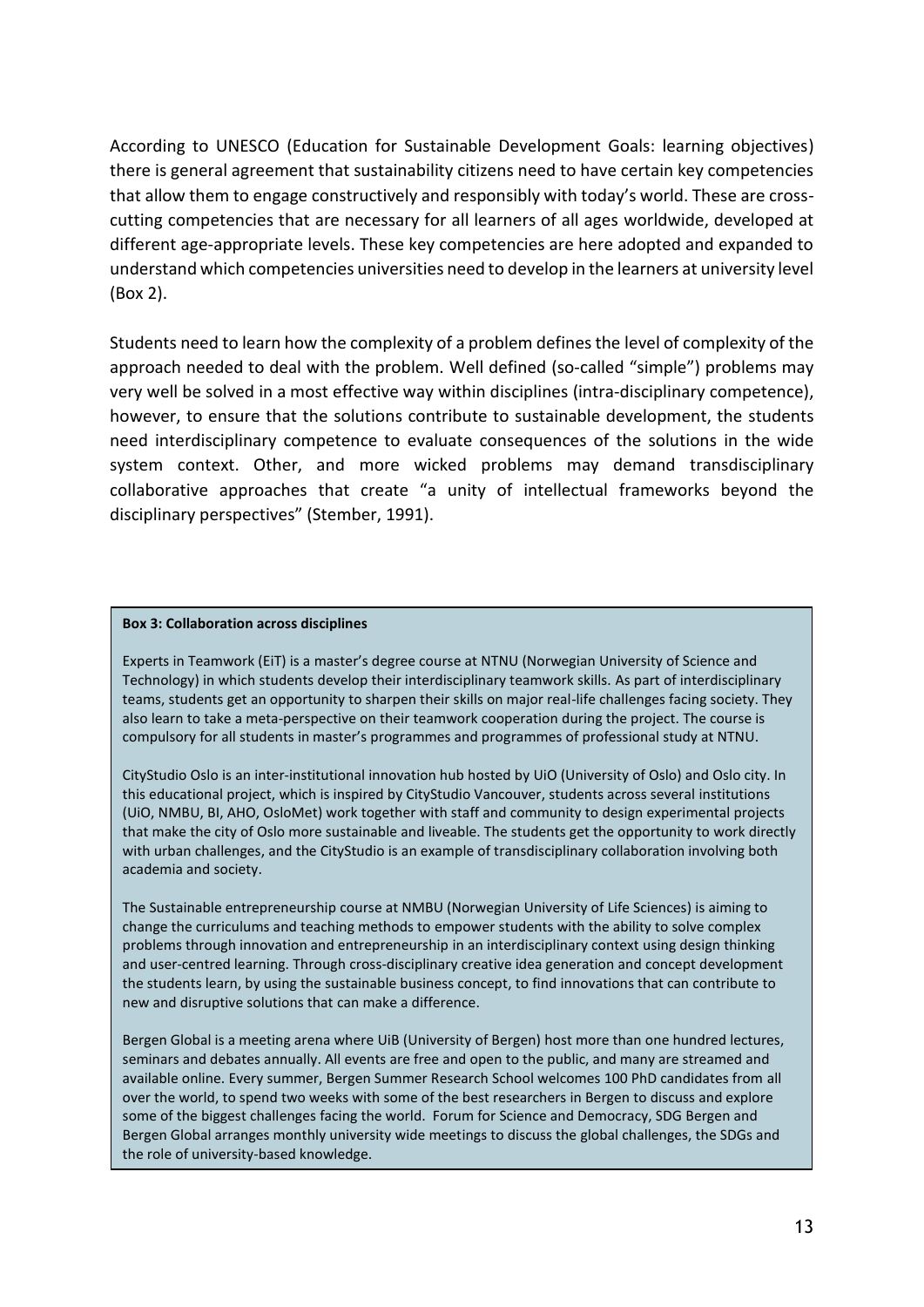According to UNESCO (Education for Sustainable Development Goals: learning objectives) there is general agreement that sustainability citizens need to have certain key competencies that allow them to engage constructively and responsibly with today's world. These are crosscutting competencies that are necessary for all learners of all ages worldwide, developed at different age-appropriate levels. These key competencies are here adopted and expanded to understand which competencies universities need to develop in the learners at university level (Box 2).

Students need to learn how the complexity of a problem defines the level of complexity of the approach needed to deal with the problem. Well defined (so-called "simple") problems may very well be solved in a most effective way within disciplines (intra-disciplinary competence), however, to ensure that the solutions contribute to sustainable development, the students need interdisciplinary competence to evaluate consequences of the solutions in the wide system context. Other, and more wicked problems may demand transdisciplinary collaborative approaches that create "a unity of intellectual frameworks beyond the disciplinary perspectives" (Stember, 1991).

#### **Box 3: Collaboration across disciplines**

Experts in Teamwork (EiT) is a master's degree course at NTNU (Norwegian University of Science and Technology) in which students develop their interdisciplinary teamwork skills. As part of interdisciplinary teams, students get an opportunity to sharpen their skills on major real-life challenges facing society. They also learn to take a meta-perspective on their teamwork cooperation during the project. The course is compulsory for all students in master's programmes and programmes of professional study at NTNU.

CityStudio Oslo is an inter-institutional innovation hub hosted by UiO (University of Oslo) and Oslo city. In this educational project, which is inspired by CityStudio Vancouver, students across several institutions (UiO, NMBU, BI, AHO, OsloMet) work together with staff and community to design experimental projects that make the city of Oslo more sustainable and liveable. The students get the opportunity to work directly with urban challenges, and the CityStudio is an example of transdisciplinary collaboration involving both academia and society.

The Sustainable entrepreneurship course at NMBU (Norwegian University of Life Sciences) is aiming to change the curriculums and teaching methods to empower students with the ability to solve complex problems through innovation and entrepreneurship in an interdisciplinary context using design thinking and user-centred learning. Through cross-disciplinary creative idea generation and concept development the students learn, by using the sustainable business concept, to find innovations that can contribute to new and disruptive solutions that can make a difference.

Bergen Global is a meeting arena where UiB (University of Bergen) host more than one hundred lectures, seminars and debates annually. All events are free and open to the public, and many are streamed and available online. Every summer, Bergen Summer Research School welcomes 100 PhD candidates from all over the world, to spend two weeks with some of the best researchers in Bergen to discuss and explore some of the biggest challenges facing the world. Forum for Science and Democracy, SDG Bergen and Bergen Global arranges monthly university wide meetings to discuss the global challenges, the SDGs and the role of university-based knowledge.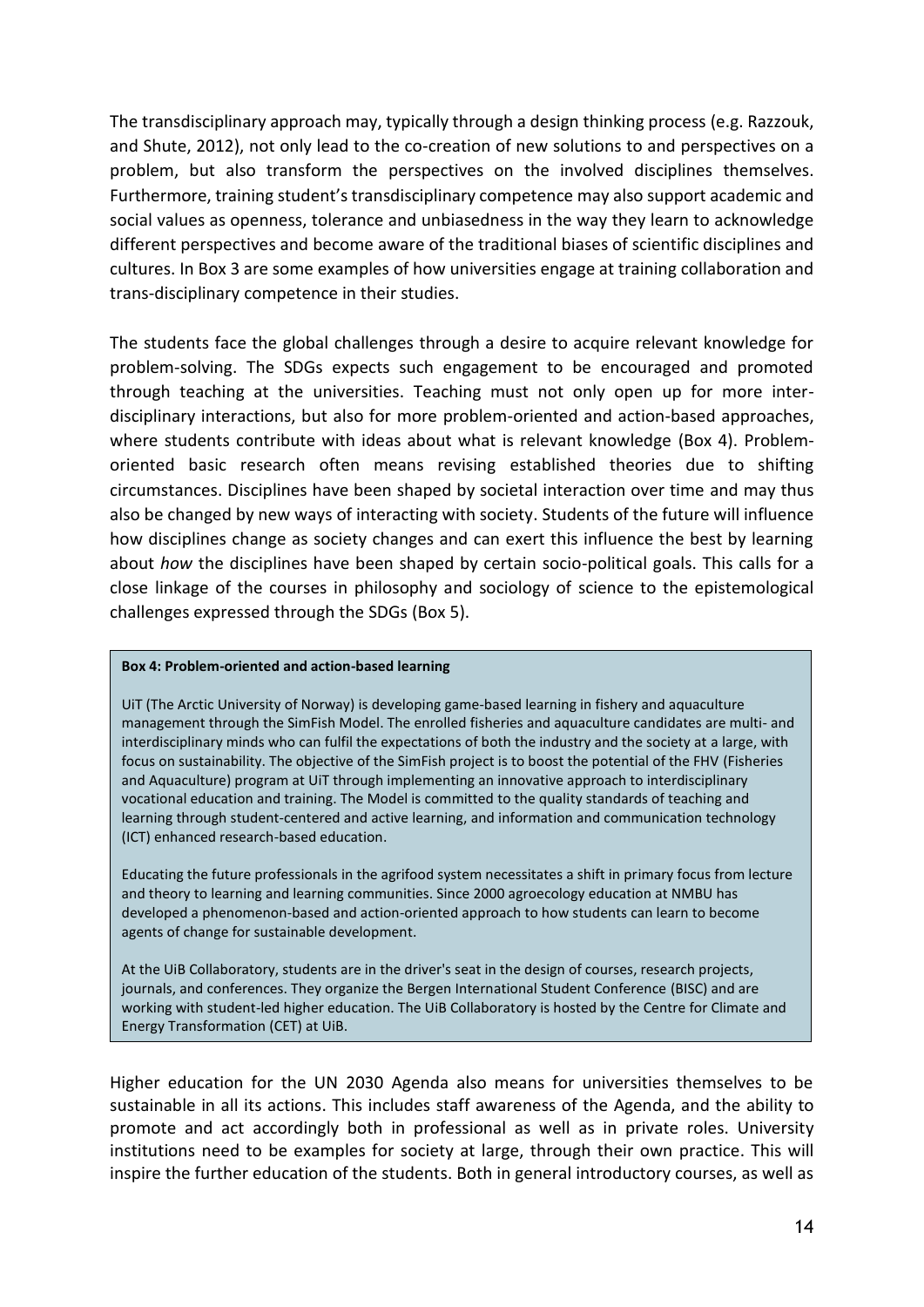The transdisciplinary approach may, typically through a design thinking process (e.g. Razzouk, and Shute, 2012), not only lead to the co-creation of new solutions to and perspectives on a problem, but also transform the perspectives on the involved disciplines themselves. Furthermore, training student's transdisciplinary competence may also support academic and social values as openness, tolerance and unbiasedness in the way they learn to acknowledge different perspectives and become aware of the traditional biases of scientific disciplines and cultures. In Box 3 are some examples of how universities engage at training collaboration and trans-disciplinary competence in their studies.

The students face the global challenges through a desire to acquire relevant knowledge for problem-solving. The SDGs expects such engagement to be encouraged and promoted through teaching at the universities. Teaching must not only open up for more interdisciplinary interactions, but also for more problem-oriented and action-based approaches, where students contribute with ideas about what is relevant knowledge (Box 4). Problemoriented basic research often means revising established theories due to shifting circumstances. Disciplines have been shaped by societal interaction over time and may thus also be changed by new ways of interacting with society. Students of the future will influence how disciplines change as society changes and can exert this influence the best by learning about *how* the disciplines have been shaped by certain socio-political goals. This calls for a close linkage of the courses in philosophy and sociology of science to the epistemological challenges expressed through the SDGs (Box 5).

#### **Box 4: Problem-oriented and action-based learning**

UiT (The Arctic University of Norway) is developing game-based learning in fishery and aquaculture management through the SimFish Model. The enrolled fisheries and aquaculture candidates are multi- and interdisciplinary minds who can fulfil the expectations of both the industry and the society at a large, with focus on sustainability. The objective of the SimFish project is to boost the potential of the FHV (Fisheries and Aquaculture) program at UiT through implementing an innovative approach to interdisciplinary vocational education and training. The Model is committed to the quality standards of teaching and learning through student-centered and active learning, and information and communication technology (ICT) enhanced research-based education.

Educating the future professionals in the agrifood system necessitates a shift in primary focus from lecture and theory to learning and learning communities. Since 2000 agroecology education at NMBU has developed a phenomenon-based and action-oriented approach to how students can learn to become agents of change for sustainable development.

At the UiB Collaboratory, students are in the driver's seat in the design of courses, research projects, journals, and conferences. They organize the Bergen International Student Conference (BISC) and are working with student-led higher education. The UiB Collaboratory is hosted by the Centre for Climate and Energy Transformation (CET) at UiB.

Higher education for the UN 2030 Agenda also means for universities themselves to be sustainable in all its actions. This includes staff awareness of the Agenda, and the ability to promote and act accordingly both in professional as well as in private roles. University institutions need to be examples for society at large, through their own practice. This will inspire the further education of the students. Both in general introductory courses, as well as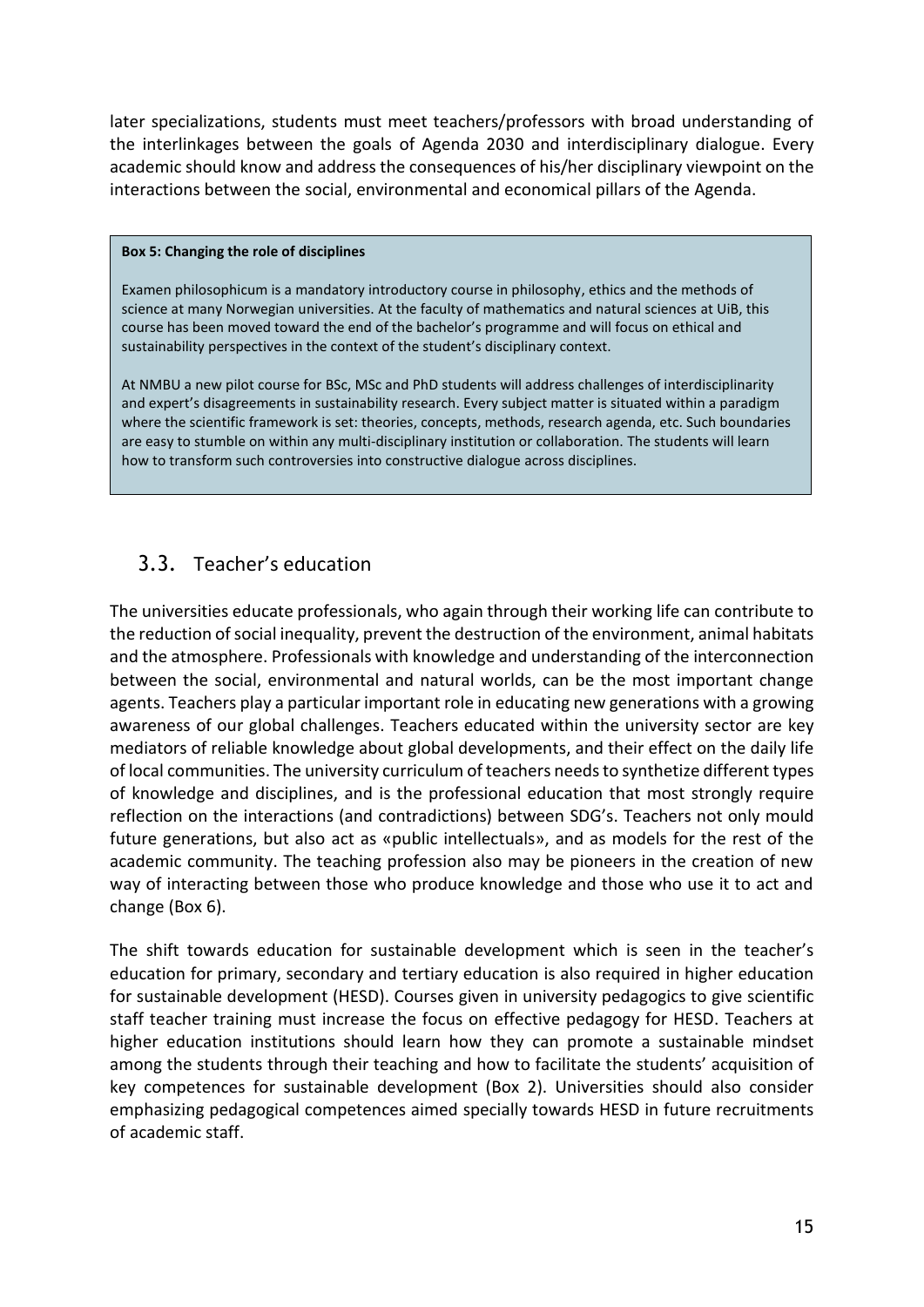later specializations, students must meet teachers/professors with broad understanding of the interlinkages between the goals of Agenda 2030 and interdisciplinary dialogue. Every academic should know and address the consequences of his/her disciplinary viewpoint on the interactions between the social, environmental and economical pillars of the Agenda.

#### **Box 5: Changing the role of disciplines**

Examen philosophicum is a mandatory introductory course in philosophy, ethics and the methods of science at many Norwegian universities. At the faculty of mathematics and natural sciences at UiB, this course has been moved toward the end of the bachelor's programme and will focus on ethical and sustainability perspectives in the context of the student's disciplinary context.

At NMBU a new pilot course for BSc, MSc and PhD students will address challenges of interdisciplinarity and expert's disagreements in sustainability research. Every subject matter is situated within a paradigm where the scientific framework is set: theories, concepts, methods, research agenda, etc. Such boundaries are easy to stumble on within any multi-disciplinary institution or collaboration. The students will learn how to transform such controversies into constructive dialogue across disciplines.

# <span id="page-14-0"></span>3.3. Teacher's education

The universities educate professionals, who again through their working life can contribute to the reduction of social inequality, prevent the destruction of the environment, animal habitats and the atmosphere. Professionals with knowledge and understanding of the interconnection between the social, environmental and natural worlds, can be the most important change agents. Teachers play a particular important role in educating new generations with a growing awareness of our global challenges. Teachers educated within the university sector are key mediators of reliable knowledge about global developments, and their effect on the daily life of local communities. The university curriculum of teachers needs to synthetize different types of knowledge and disciplines, and is the professional education that most strongly require reflection on the interactions (and contradictions) between SDG's. Teachers not only mould future generations, but also act as «public intellectuals», and as models for the rest of the academic community. The teaching profession also may be pioneers in the creation of new way of interacting between those who produce knowledge and those who use it to act and change (Box 6).

The shift towards education for sustainable development which is seen in the teacher's education for primary, secondary and tertiary education is also required in higher education for sustainable development (HESD). Courses given in university pedagogics to give scientific staff teacher training must increase the focus on effective pedagogy for HESD. Teachers at higher education institutions should learn how they can promote a sustainable mindset among the students through their teaching and how to facilitate the students' acquisition of key competences for sustainable development (Box 2). Universities should also consider emphasizing pedagogical competences aimed specially towards HESD in future recruitments of academic staff.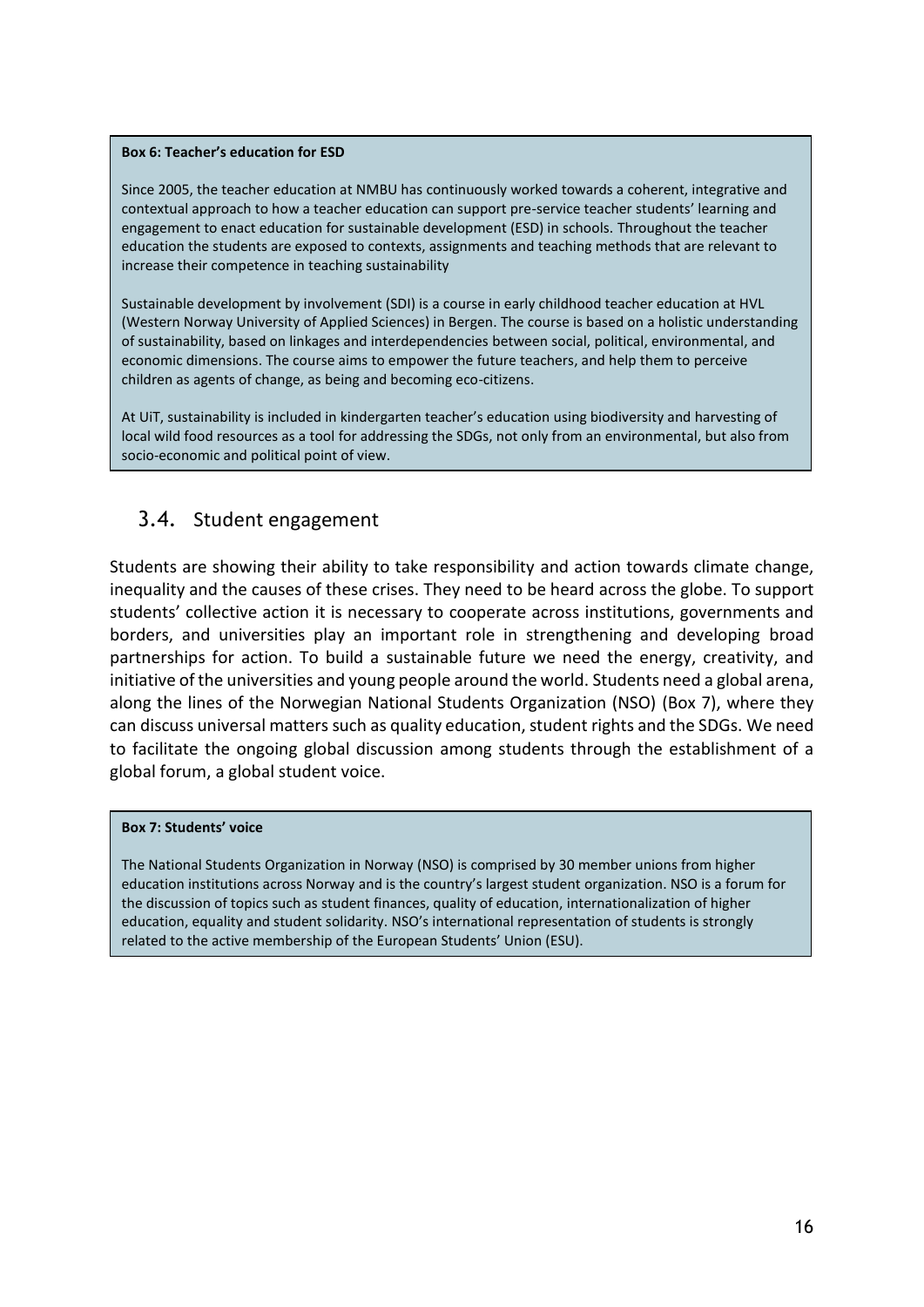#### **Box 6: Teacher's education for ESD**

Since 2005, the teacher education at NMBU has continuously worked towards a coherent, integrative and contextual approach to how a teacher education can support pre-service teacher students' learning and engagement to enact education for sustainable development (ESD) in schools. Throughout the teacher education the students are exposed to contexts, assignments and teaching methods that are relevant to increase their competence in teaching sustainability

Sustainable development by involvement (SDI) is a course in early childhood teacher education at HVL (Western Norway University of Applied Sciences) in Bergen. The course is based on a holistic understanding of sustainability, based on linkages and interdependencies between social, political, environmental, and economic dimensions. The course aims to empower the future teachers, and help them to perceive children as agents of change, as being and becoming eco-citizens.

At UiT, sustainability is included in kindergarten teacher's education using biodiversity and harvesting of local wild food resources as a tool for addressing the SDGs, not only from an environmental, but also from socio-economic and political point of view.

### <span id="page-15-0"></span>3.4. Student engagement

Students are showing their ability to take responsibility and action towards climate change, inequality and the causes of these crises. They need to be heard across the globe. To support students' collective action it is necessary to cooperate across institutions, governments and borders, and universities play an important role in strengthening and developing broad partnerships for action. To build a sustainable future we need the energy, creativity, and initiative of the universities and young people around the world. Students need a global arena, along the lines of the Norwegian National Students Organization (NSO) (Box 7), where they can discuss universal matters such as quality education, student rights and the SDGs. We need to facilitate the ongoing global discussion among students through the establishment of a global forum, a global student voice.

#### **Box 7: Students' voice**

The National Students Organization in Norway (NSO) is comprised by 30 member unions from higher education institutions across Norway and is the country's largest student organization. NSO is a forum for the discussion of topics such as student finances, quality of education, internationalization of higher education, equality and student solidarity. NSO's international representation of students is strongly related to the active membership of the European Students' Union (ESU).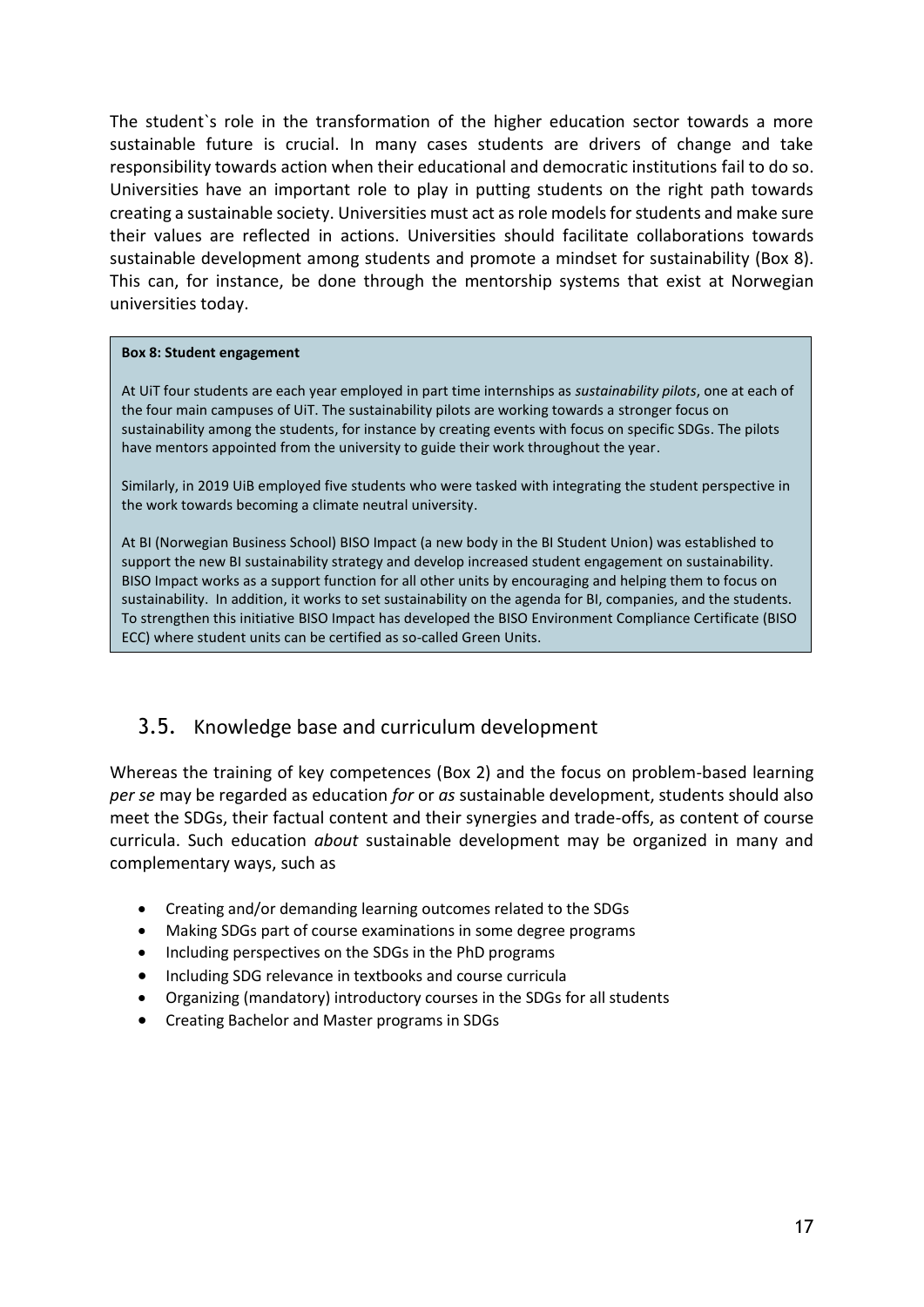The student`s role in the transformation of the higher education sector towards a more sustainable future is crucial. In many cases students are drivers of change and take responsibility towards action when their educational and democratic institutions fail to do so. Universities have an important role to play in putting students on the right path towards creating a sustainable society. Universities must act asrole models for students and make sure their values are reflected in actions. Universities should facilitate collaborations towards sustainable development among students and promote a mindset for sustainability (Box 8). This can, for instance, be done through the mentorship systems that exist at Norwegian universities today.

#### **Box 8: Student engagement**

At UiT four students are each year employed in part time internships as *sustainability pilots*, one at each of the four main campuses of UiT. The sustainability pilots are working towards a stronger focus on sustainability among the students, for instance by creating events with focus on specific SDGs. The pilots have mentors appointed from the university to guide their work throughout the year.

Similarly, in 2019 UiB employed five students who were tasked with integrating the student perspective in the work towards becoming a climate neutral university.

At BI (Norwegian Business School) BISO Impact (a new body in the BI Student Union) was established to support the new BI sustainability strategy and develop increased student engagement on sustainability. BISO Impact works as a support function for all other units by encouraging and helping them to focus on sustainability. In addition, it works to set sustainability on the agenda for BI, companies, and the students. To strengthen this initiative BISO Impact has developed the BISO Environment Compliance Certificate (BISO ECC) where student units can be certified as so-called Green Units.

### <span id="page-16-0"></span>3.5. Knowledge base and curriculum development

Whereas the training of key competences (Box 2) and the focus on problem-based learning *per se* may be regarded as education *for* or *as* sustainable development, students should also meet the SDGs, their factual content and their synergies and trade-offs, as content of course curricula. Such education *about* sustainable development may be organized in many and complementary ways, such as

- Creating and/or demanding learning outcomes related to the SDGs
- Making SDGs part of course examinations in some degree programs
- Including perspectives on the SDGs in the PhD programs
- Including SDG relevance in textbooks and course curricula
- Organizing (mandatory) introductory courses in the SDGs for all students
- Creating Bachelor and Master programs in SDGs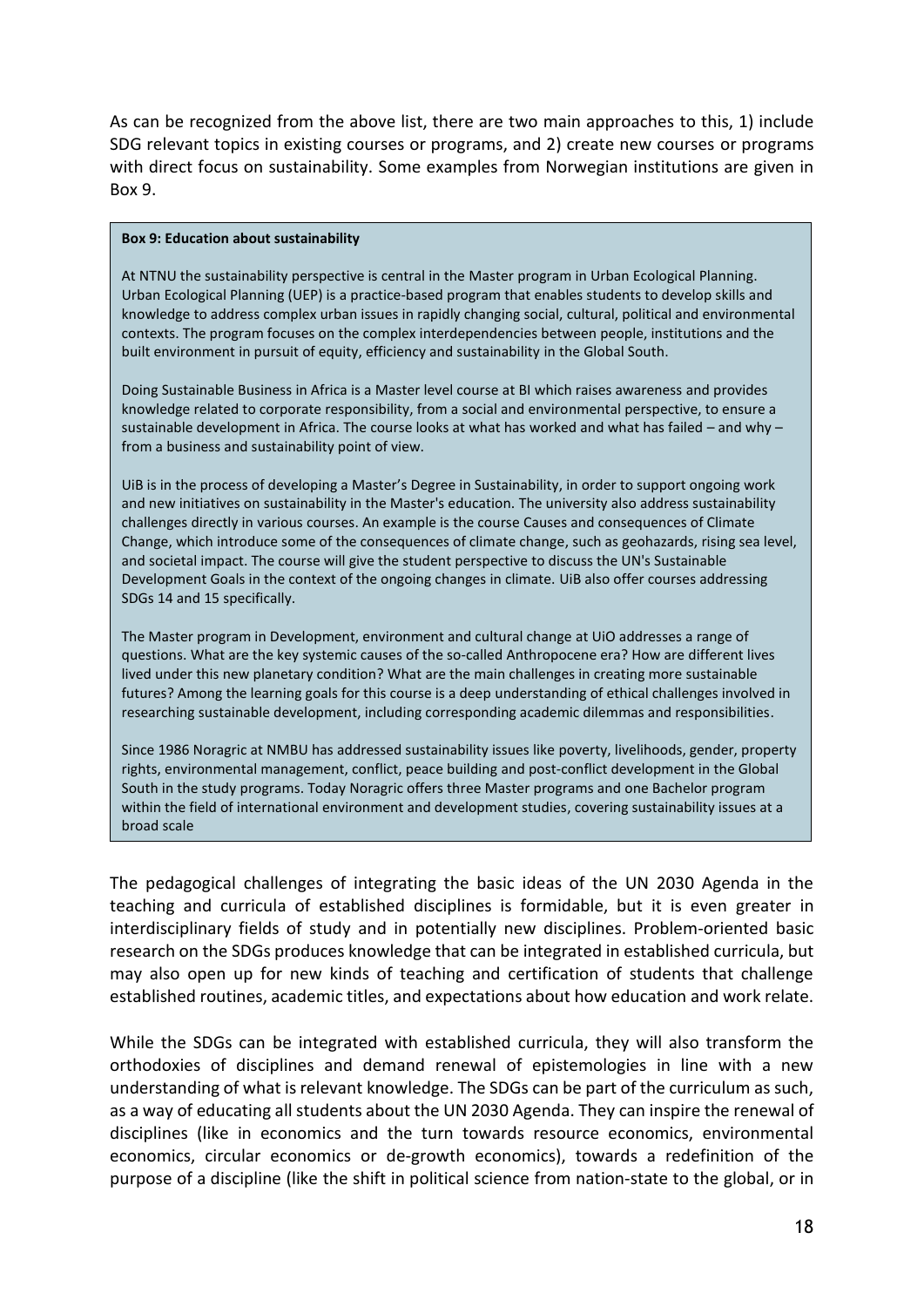As can be recognized from the above list, there are two main approaches to this, 1) include SDG relevant topics in existing courses or programs, and 2) create new courses or programs with direct focus on sustainability. Some examples from Norwegian institutions are given in Box 9.

#### **Box 9: Education about sustainability**

At NTNU the sustainability perspective is central in the Master program in Urban Ecological Planning. Urban Ecological Planning (UEP) is a practice-based program that enables students to develop skills and knowledge to address complex urban issues in rapidly changing social, cultural, political and environmental contexts. The program focuses on the complex interdependencies between people, institutions and the built environment in pursuit of equity, efficiency and sustainability in the Global South.

Doing Sustainable Business in Africa is a Master level course at BI which raises awareness and provides knowledge related to corporate responsibility, from a social and environmental perspective, to ensure a sustainable development in Africa. The course looks at what has worked and what has failed – and why – from a business and sustainability point of view.

UiB is in the process of developing a Master's Degree in Sustainability, in order to support ongoing work and new initiatives on sustainability in the Master's education. The university also address sustainability challenges directly in various courses. An example is the course Causes and consequences of Climate Change, which introduce some of the consequences of climate change, such as geohazards, rising sea level, and societal impact. The course will give the student perspective to discuss the UN's Sustainable Development Goals in the context of the ongoing changes in climate. UiB also offer courses addressing SDGs 14 and 15 specifically.

The Master program in Development, environment and cultural change at UiO addresses a range of questions. What are the key systemic causes of the so-called Anthropocene era? How are different lives lived under this new planetary condition? What are the main challenges in creating more sustainable futures? Among the learning goals for this course is a deep understanding of ethical challenges involved in researching sustainable development, including corresponding academic dilemmas and responsibilities.

Since 1986 Noragric at NMBU has addressed sustainability issues like poverty, livelihoods, gender, property rights, environmental management, conflict, peace building and post-conflict development in the Global South in the study programs. Today Noragric offers three Master programs and one Bachelor program within the field of international environment and development studies, covering sustainability issues at a broad scale

The pedagogical challenges of integrating the basic ideas of the UN 2030 Agenda in the teaching and curricula of established disciplines is formidable, but it is even greater in interdisciplinary fields of study and in potentially new disciplines. Problem-oriented basic research on the SDGs produces knowledge that can be integrated in established curricula, but may also open up for new kinds of teaching and certification of students that challenge established routines, academic titles, and expectations about how education and work relate.

While the SDGs can be integrated with established curricula, they will also transform the orthodoxies of disciplines and demand renewal of epistemologies in line with a new understanding of what is relevant knowledge. The SDGs can be part of the curriculum as such, as a way of educating all students about the UN 2030 Agenda. They can inspire the renewal of disciplines (like in economics and the turn towards resource economics, environmental economics, circular economics or de-growth economics), towards a redefinition of the purpose of a discipline (like the shift in political science from nation-state to the global, or in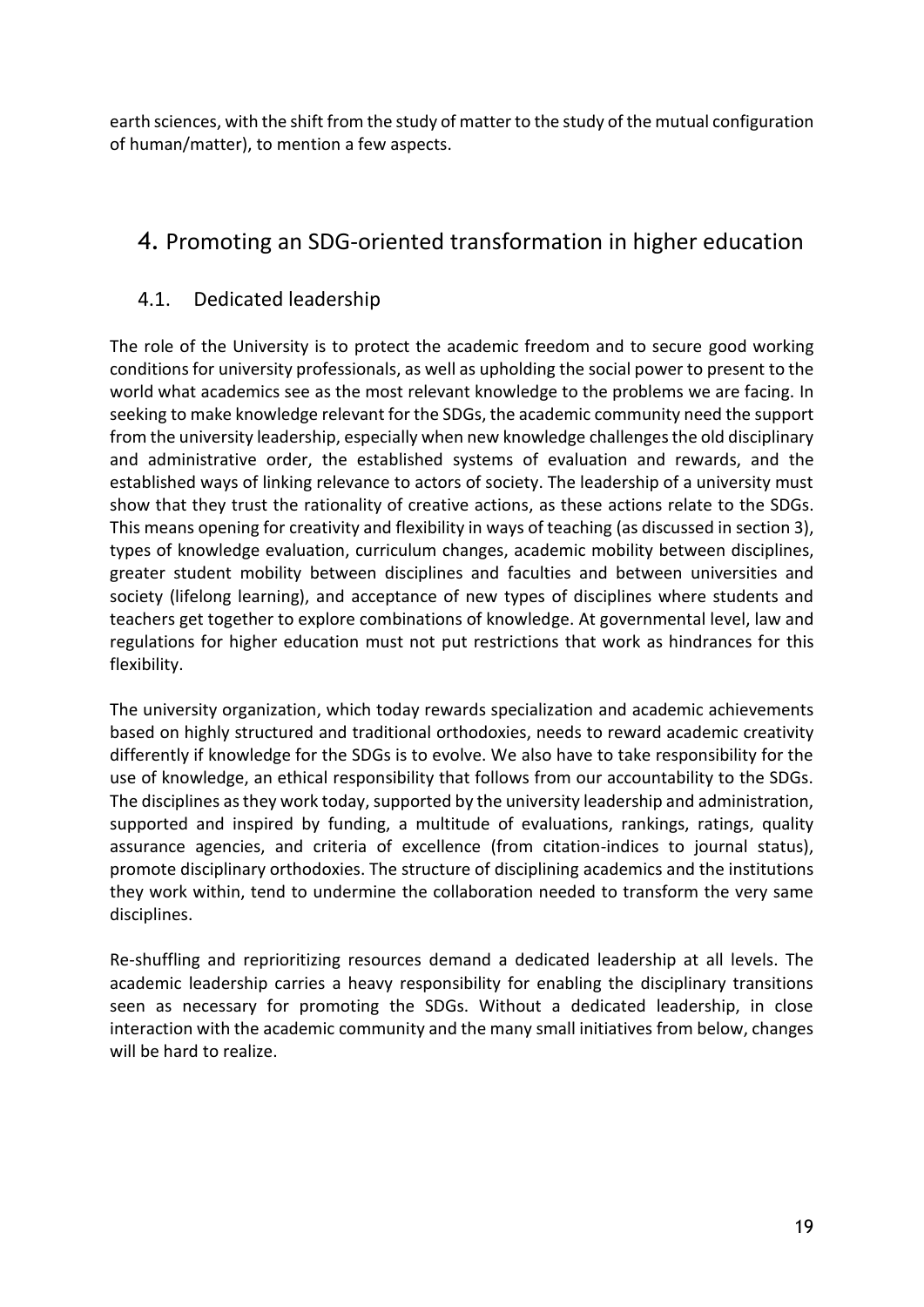earth sciences, with the shift from the study of matter to the study of the mutual configuration of human/matter), to mention a few aspects.

# <span id="page-18-0"></span>4. Promoting an SDG-oriented transformation in higher education

# <span id="page-18-1"></span>4.1. Dedicated leadership

The role of the University is to protect the academic freedom and to secure good working conditions for university professionals, as well as upholding the social power to present to the world what academics see as the most relevant knowledge to the problems we are facing. In seeking to make knowledge relevant for the SDGs, the academic community need the support from the university leadership, especially when new knowledge challengesthe old disciplinary and administrative order, the established systems of evaluation and rewards, and the established ways of linking relevance to actors of society. The leadership of a university must show that they trust the rationality of creative actions, as these actions relate to the SDGs. This means opening for creativity and flexibility in ways of teaching (as discussed in section 3), types of knowledge evaluation, curriculum changes, academic mobility between disciplines, greater student mobility between disciplines and faculties and between universities and society (lifelong learning), and acceptance of new types of disciplines where students and teachers get together to explore combinations of knowledge. At governmental level, law and regulations for higher education must not put restrictions that work as hindrances for this flexibility.

The university organization, which today rewards specialization and academic achievements based on highly structured and traditional orthodoxies, needs to reward academic creativity differently if knowledge for the SDGs is to evolve. We also have to take responsibility for the use of knowledge, an ethical responsibility that follows from our accountability to the SDGs. The disciplines as they work today, supported by the university leadership and administration, supported and inspired by funding, a multitude of evaluations, rankings, ratings, quality assurance agencies, and criteria of excellence (from citation-indices to journal status), promote disciplinary orthodoxies. The structure of disciplining academics and the institutions they work within, tend to undermine the collaboration needed to transform the very same disciplines.

Re-shuffling and reprioritizing resources demand a dedicated leadership at all levels. The academic leadership carries a heavy responsibility for enabling the disciplinary transitions seen as necessary for promoting the SDGs. Without a dedicated leadership, in close interaction with the academic community and the many small initiatives from below, changes will be hard to realize.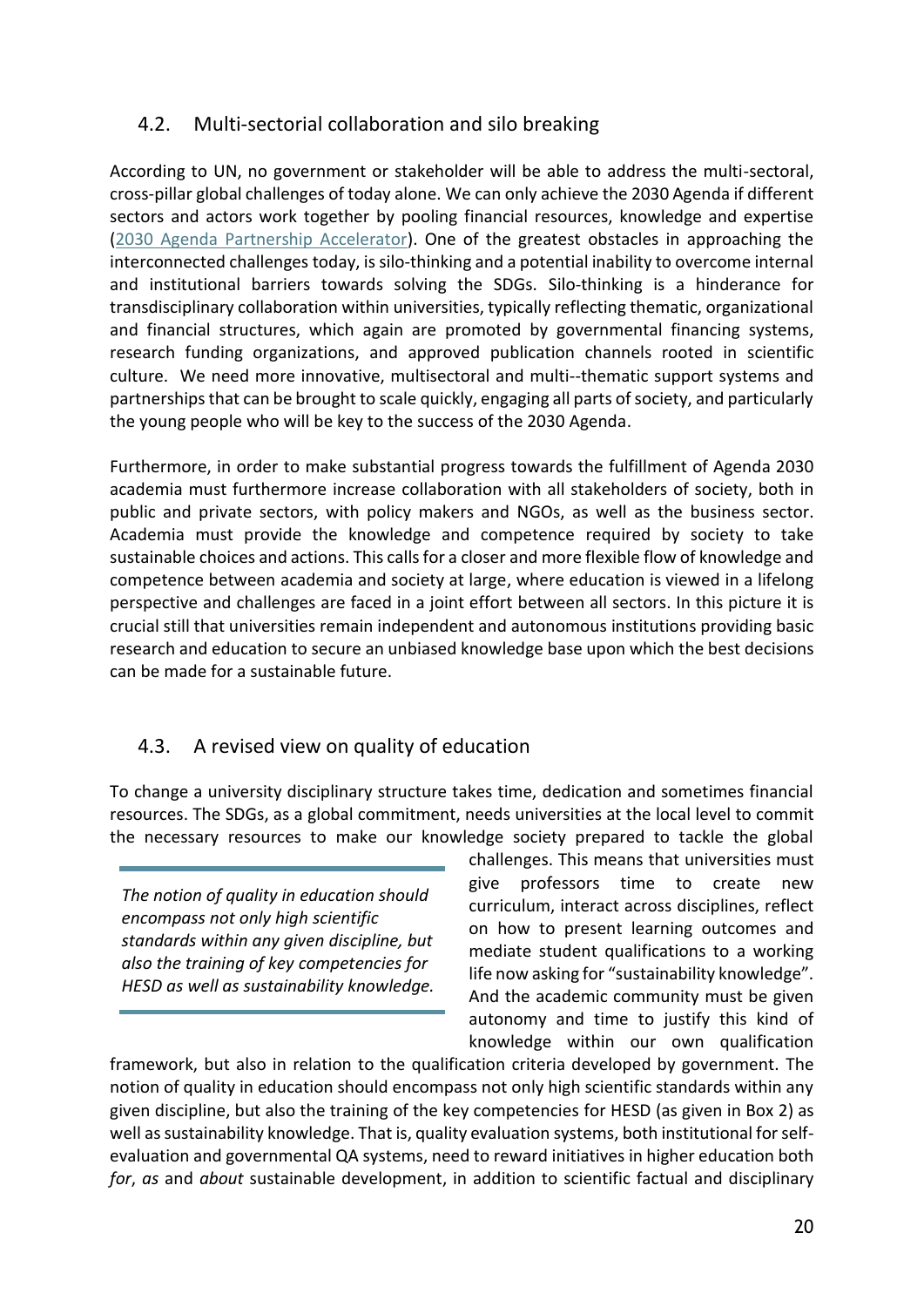# <span id="page-19-0"></span>4.2. Multi-sectorial collaboration and silo breaking

According to UN, no government or stakeholder will be able to address the multi-sectoral, cross-pillar global challenges of today alone. We can only achieve the 2030 Agenda if different sectors and actors work together by pooling financial resources, knowledge and expertise [\(2030 Agenda Partnership Accelerator\)](https://sustainabledevelopment.un.org/PartnershipAccelerator). One of the greatest obstacles in approaching the interconnected challenges today, is silo-thinking and a potential inability to overcome internal and institutional barriers towards solving the SDGs. Silo-thinking is a hinderance for transdisciplinary collaboration within universities, typically reflecting thematic, organizational and financial structures, which again are promoted by governmental financing systems, research funding organizations, and approved publication channels rooted in scientific culture. We need more innovative, multisectoral and multi--thematic support systems and partnerships that can be brought to scale quickly, engaging all parts of society, and particularly the young people who will be key to the success of the 2030 Agenda.

Furthermore, in order to make substantial progress towards the fulfillment of Agenda 2030 academia must furthermore increase collaboration with all stakeholders of society, both in public and private sectors, with policy makers and NGOs, as well as the business sector. Academia must provide the knowledge and competence required by society to take sustainable choices and actions. This calls for a closer and more flexible flow of knowledge and competence between academia and society at large, where education is viewed in a lifelong perspective and challenges are faced in a joint effort between all sectors. In this picture it is crucial still that universities remain independent and autonomous institutions providing basic research and education to secure an unbiased knowledge base upon which the best decisions can be made for a sustainable future.

# <span id="page-19-1"></span>4.3. A revised view on quality of education

To change a university disciplinary structure takes time, dedication and sometimes financial resources. The SDGs, as a global commitment, needs universities at the local level to commit the necessary resources to make our knowledge society prepared to tackle the global

*The notion of quality in education should encompass not only high scientific standards within any given discipline, but also the training of key competencies for HESD as well as sustainability knowledge.* challenges. This means that universities must give professors time to create new curriculum, interact across disciplines, reflect on how to present learning outcomes and mediate student qualifications to a working life now asking for "sustainability knowledge". And the academic community must be given autonomy and time to justify this kind of knowledge within our own qualification

framework, but also in relation to the qualification criteria developed by government. The notion of quality in education should encompass not only high scientific standards within any given discipline, but also the training of the key competencies for HESD (as given in Box 2) as well as sustainability knowledge. That is, quality evaluation systems, both institutional for selfevaluation and governmental QA systems, need to reward initiatives in higher education both *for*, *as* and *about* sustainable development, in addition to scientific factual and disciplinary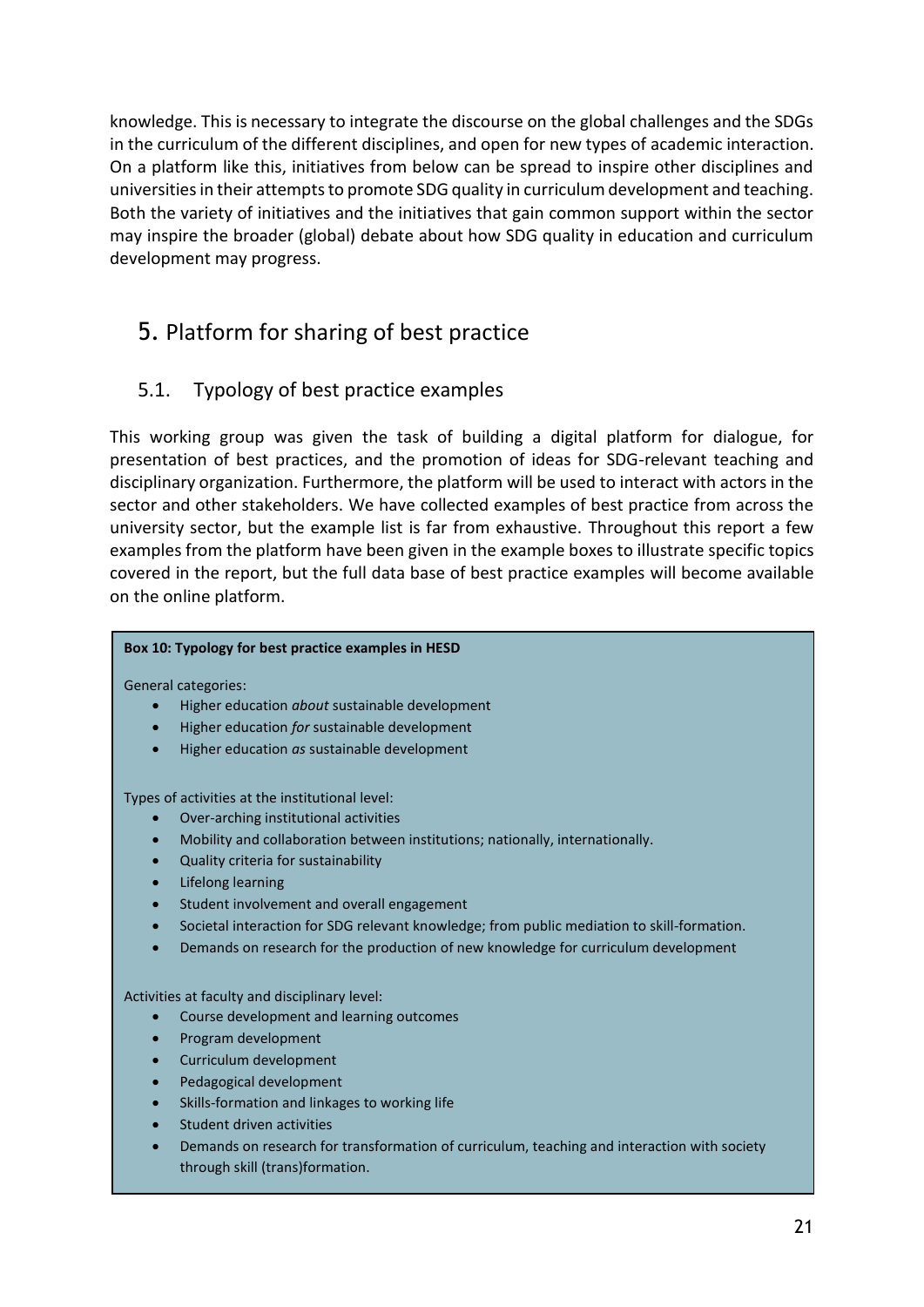knowledge. This is necessary to integrate the discourse on the global challenges and the SDGs in the curriculum of the different disciplines, and open for new types of academic interaction. On a platform like this, initiatives from below can be spread to inspire other disciplines and universities in their attempts to promote SDG quality in curriculum development and teaching. Both the variety of initiatives and the initiatives that gain common support within the sector may inspire the broader (global) debate about how SDG quality in education and curriculum development may progress.

# <span id="page-20-0"></span>5. Platform for sharing of best practice

# <span id="page-20-1"></span>5.1. Typology of best practice examples

This working group was given the task of building a digital platform for dialogue, for presentation of best practices, and the promotion of ideas for SDG-relevant teaching and disciplinary organization. Furthermore, the platform will be used to interact with actors in the sector and other stakeholders. We have collected examples of best practice from across the university sector, but the example list is far from exhaustive. Throughout this report a few examples from the platform have been given in the example boxes to illustrate specific topics covered in the report, but the full data base of best practice examples will become available on the online platform.

#### **Box 10: Typology for best practice examples in HESD**

General categories:

- Higher education *about* sustainable development
- Higher education *for* sustainable development
- Higher education *as* sustainable development

Types of activities at the institutional level:

- Over-arching institutional activities
- Mobility and collaboration between institutions; nationally, internationally.
- Quality criteria for sustainability
- Lifelong learning
- Student involvement and overall engagement
- Societal interaction for SDG relevant knowledge; from public mediation to skill-formation.
- Demands on research for the production of new knowledge for curriculum development

Activities at faculty and disciplinary level:

- Course development and learning outcomes
- Program development
- Curriculum development
- Pedagogical development
- Skills-formation and linkages to working life
- Student driven activities
- Demands on research for transformation of curriculum, teaching and interaction with society through skill (trans)formation.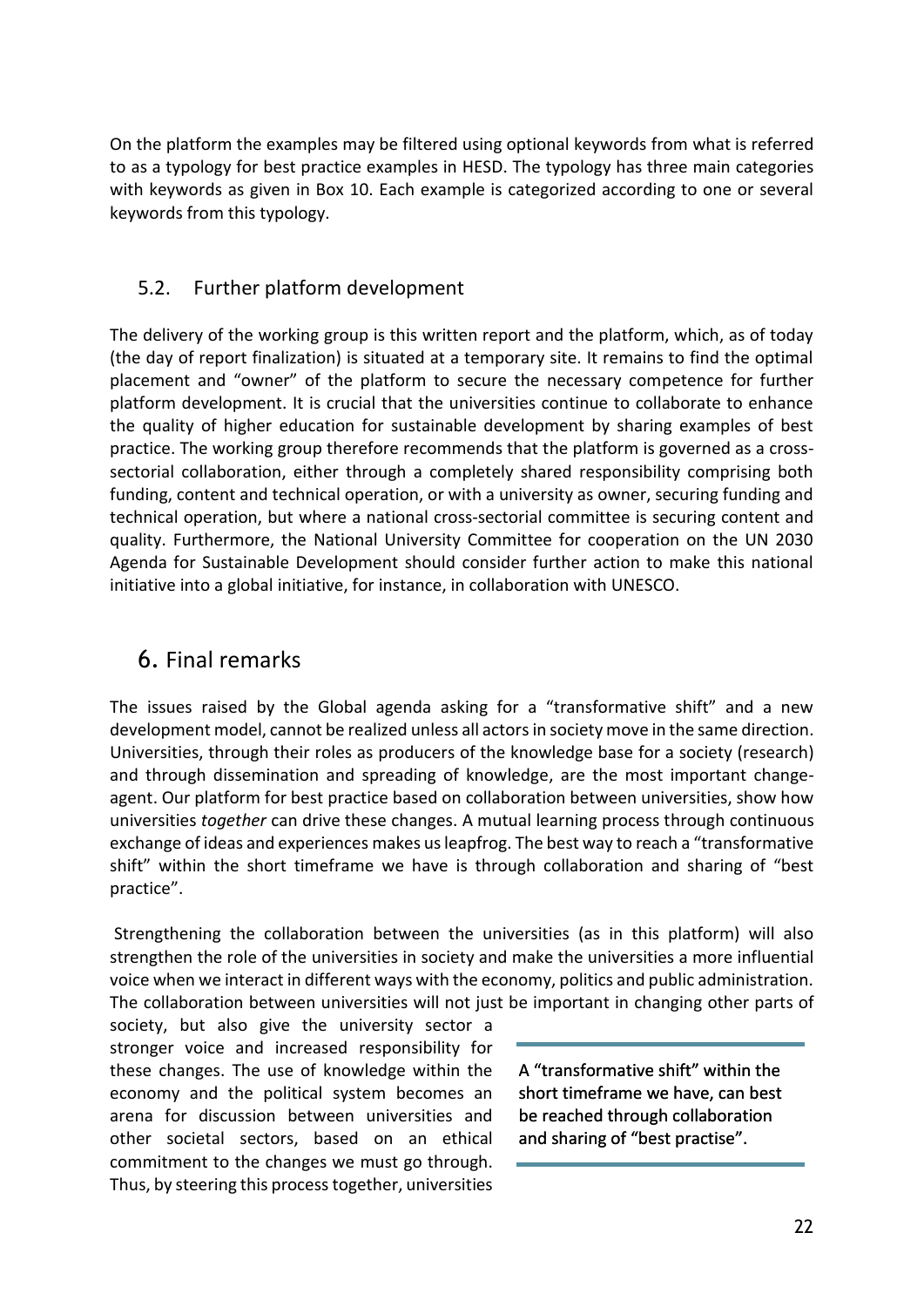On the platform the examples may be filtered using optional keywords from what is referred to as a typology for best practice examples in HESD. The typology has three main categories with keywords as given in Box 10. Each example is categorized according to one or several keywords from this typology.

### <span id="page-21-0"></span>5.2. Further platform development

The delivery of the working group is this written report and the platform, which, as of today (the day of report finalization) is situated at a temporary site. It remains to find the optimal placement and "owner" of the platform to secure the necessary competence for further platform development. It is crucial that the universities continue to collaborate to enhance the quality of higher education for sustainable development by sharing examples of best practice. The working group therefore recommends that the platform is governed as a crosssectorial collaboration, either through a completely shared responsibility comprising both funding, content and technical operation, or with a university as owner, securing funding and technical operation, but where a national cross-sectorial committee is securing content and quality. Furthermore, the National University Committee for cooperation on the UN 2030 Agenda for Sustainable Development should consider further action to make this national initiative into a global initiative, for instance, in collaboration with UNESCO.

# <span id="page-21-1"></span>6. Final remarks

The issues raised by the Global agenda asking for a "transformative shift" and a new development model, cannot be realized unless all actors in society move in the same direction. Universities, through their roles as producers of the knowledge base for a society (research) and through dissemination and spreading of knowledge, are the most important changeagent. Our platform for best practice based on collaboration between universities, show how universities *together* can drive these changes. A mutual learning process through continuous exchange of ideas and experiences makes us leapfrog. The best way to reach a "transformative shift" within the short timeframe we have is through collaboration and sharing of "best practice".

Strengthening the collaboration between the universities (as in this platform) will also strengthen the role of the universities in society and make the universities a more influential voice when we interact in different ways with the economy, politics and public administration. The collaboration between universities will not just be important in changing other parts of

society, but also give the university sector a stronger voice and increased responsibility for these changes. The use of knowledge within the economy and the political system becomes an arena for discussion between universities and other societal sectors, based on an ethical commitment to the changes we must go through. Thus, by steering this process together, universities

A "transformative shift" within the short timeframe we have, can best be reached through collaboration and sharing of "best practise".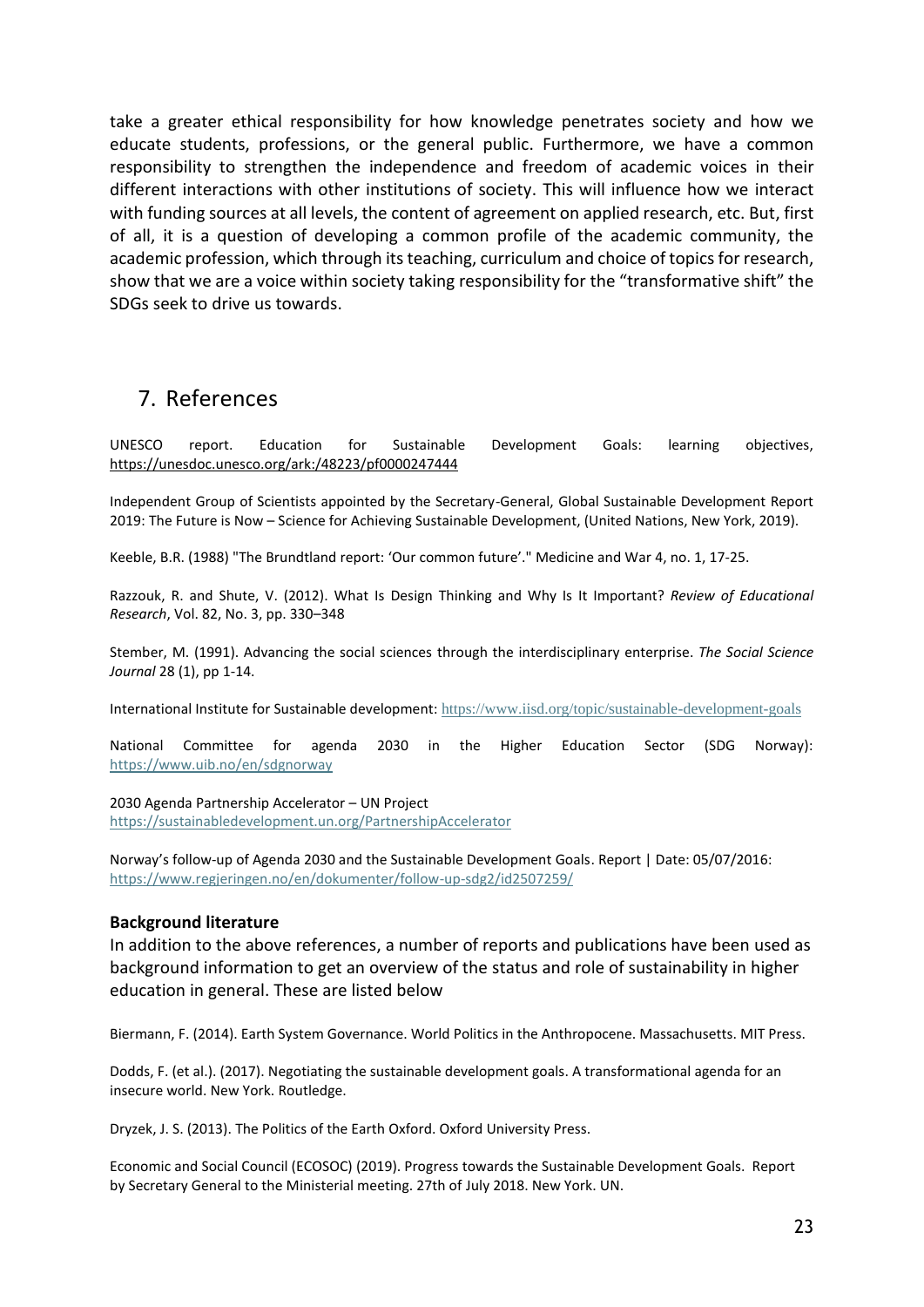take a greater ethical responsibility for how knowledge penetrates society and how we educate students, professions, or the general public. Furthermore, we have a common responsibility to strengthen the independence and freedom of academic voices in their different interactions with other institutions of society. This will influence how we interact with funding sources at all levels, the content of agreement on applied research, etc. But, first of all, it is a question of developing a common profile of the academic community, the academic profession, which through its teaching, curriculum and choice of topics for research, show that we are a voice within society taking responsibility for the "transformative shift" the SDGs seek to drive us towards.

# <span id="page-22-0"></span>7. References

UNESCO report. Education for Sustainable Development Goals: learning objectives, <https://unesdoc.unesco.org/ark:/48223/pf0000247444>

Independent Group of Scientists appointed by the Secretary-General, Global Sustainable Development Report 2019: The Future is Now – Science for Achieving Sustainable Development, (United Nations, New York, 2019).

Keeble, B.R. (1988) "The Brundtland report: 'Our common future'." Medicine and War 4, no. 1, 17-25.

Razzouk, R. and Shute, V. (2012). What Is Design Thinking and Why Is It Important? *Review of Educational Research*, Vol. 82, No. 3, pp. 330–348

Stember, M. (1991). Advancing the social sciences through the interdisciplinary enterprise. *The Social Science Journal* 28 (1), pp 1-14.

International Institute for Sustainable development: <https://www.iisd.org/topic/sustainable-development-goals>

National Committee for agenda 2030 in the Higher Education Sector (SDG Norway): <https://www.uib.no/en/sdgnorway>

2030 Agenda Partnership Accelerator – UN Project <https://sustainabledevelopment.un.org/PartnershipAccelerator>

Norway's follow-up of Agenda 2030 and the Sustainable Development Goals. Report | Date: 05/07/2016: <https://www.regjeringen.no/en/dokumenter/follow-up-sdg2/id2507259/>

#### **Background literature**

In addition to the above references, a number of reports and publications have been used as background information to get an overview of the status and role of sustainability in higher education in general. These are listed below

Biermann, F. (2014). Earth System Governance. World Politics in the Anthropocene. Massachusetts. MIT Press.

Dodds, F. (et al.). (2017). Negotiating the sustainable development goals. A transformational agenda for an insecure world. New York. Routledge.

Dryzek, J. S. (2013). The Politics of the Earth Oxford. Oxford University Press.

Economic and Social Council (ECOSOC) (2019). Progress towards the Sustainable Development Goals. Report by Secretary General to the Ministerial meeting. 27th of July 2018. New York. UN.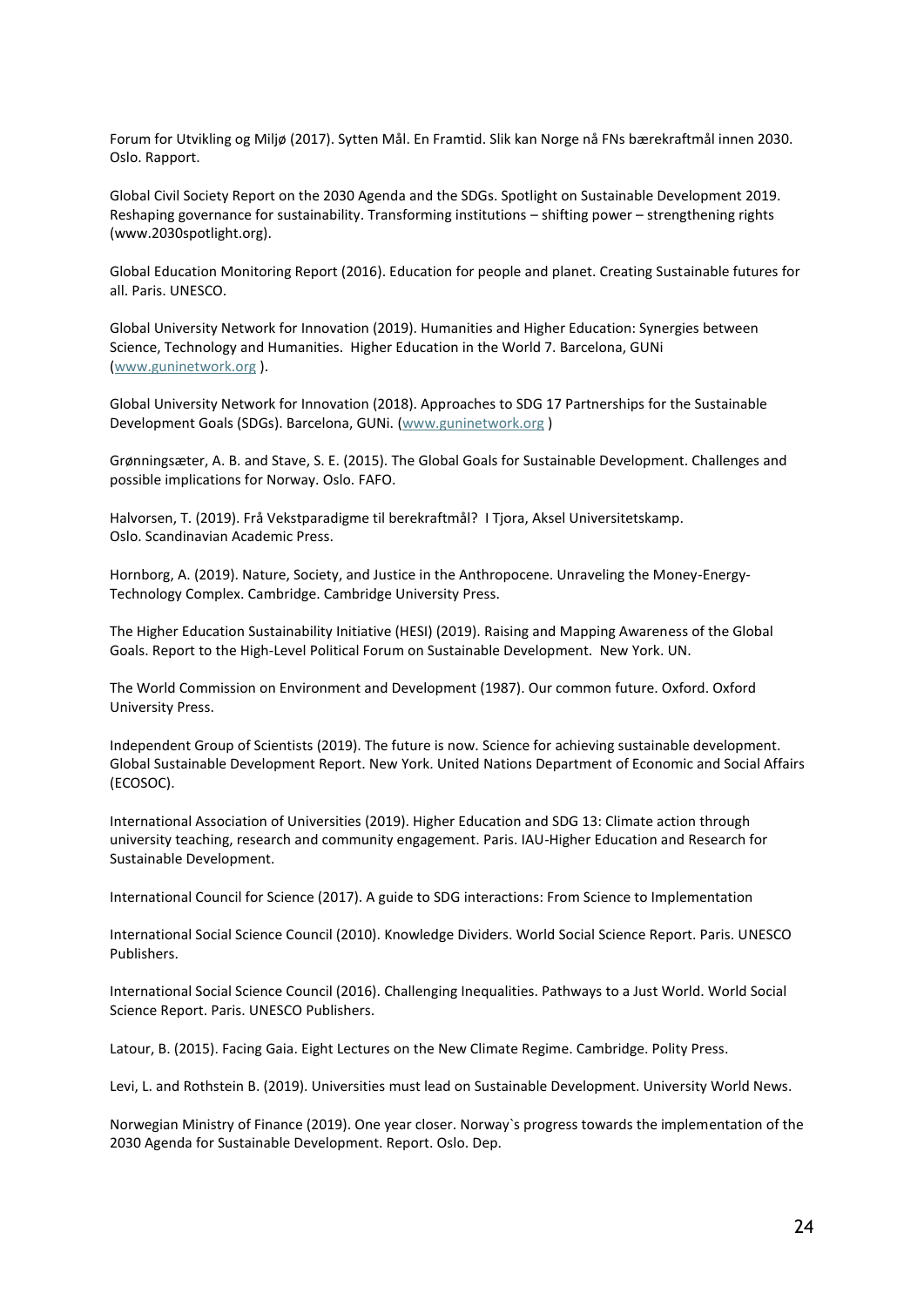Forum for Utvikling og Miljø (2017). Sytten Mål. En Framtid. Slik kan Norge nå FNs bærekraftmål innen 2030. Oslo. Rapport.

Global Civil Society Report on the 2030 Agenda and the SDGs. Spotlight on Sustainable Development 2019. Reshaping governance for sustainability. Transforming institutions – shifting power – strengthening rights (www.2030spotlight.org).

Global Education Monitoring Report (2016). Education for people and planet. Creating Sustainable futures for all. Paris. UNESCO.

Global University Network for Innovation (2019). Humanities and Higher Education: Synergies between Science, Technology and Humanities. Higher Education in the World 7. Barcelona, GUNi [\(www.guninetwork.org](http://www.guninetwork.org/) ).

Global University Network for Innovation (2018). Approaches to SDG 17 Partnerships for the Sustainable Development Goals (SDGs). Barcelona, GUNi. [\(www.guninetwork.org](http://www.guninetwork.org/) )

Grønningsæter, A. B. and Stave, S. E. (2015). The Global Goals for Sustainable Development. Challenges and possible implications for Norway. Oslo. FAFO.

Halvorsen, T. (2019). Frå Vekstparadigme til berekraftmål? I Tjora, Aksel Universitetskamp. Oslo. Scandinavian Academic Press.

Hornborg, A. (2019). Nature, Society, and Justice in the Anthropocene. Unraveling the Money-Energy-Technology Complex. Cambridge. Cambridge University Press.

The Higher Education Sustainability Initiative (HESI) (2019). Raising and Mapping Awareness of the Global Goals. Report to the High-Level Political Forum on Sustainable Development. New York. UN.

The World Commission on Environment and Development (1987). Our common future. Oxford. Oxford University Press.

Independent Group of Scientists (2019). The future is now. Science for achieving sustainable development. Global Sustainable Development Report. New York. United Nations Department of Economic and Social Affairs (ECOSOC).

International Association of Universities (2019). Higher Education and SDG 13: Climate action through university teaching, research and community engagement. Paris. IAU-Higher Education and Research for Sustainable Development.

International Council for Science (2017). A guide to SDG interactions: From Science to Implementation

International Social Science Council (2010). Knowledge Dividers. World Social Science Report. Paris. UNESCO Publishers.

International Social Science Council (2016). Challenging Inequalities. Pathways to a Just World. World Social Science Report. Paris. UNESCO Publishers.

Latour, B. (2015). Facing Gaia. Eight Lectures on the New Climate Regime. Cambridge. Polity Press.

Levi, L. and Rothstein B. (2019). Universities must lead on Sustainable Development. University World News.

Norwegian Ministry of Finance (2019). One year closer. Norway`s progress towards the implementation of the 2030 Agenda for Sustainable Development. Report. Oslo. Dep.